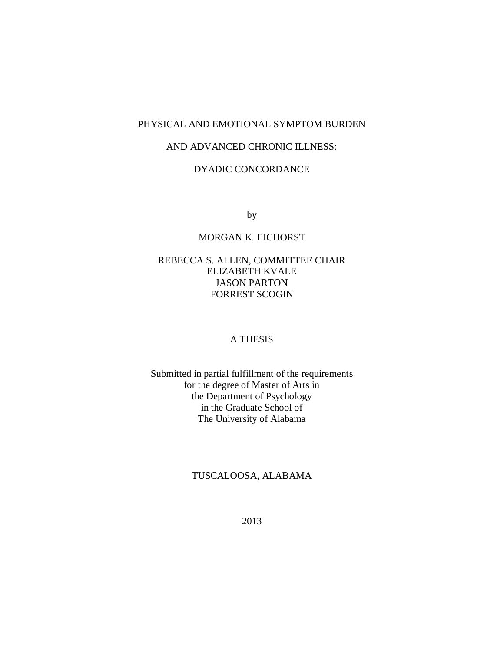# PHYSICAL AND EMOTIONAL SYMPTOM BURDEN

# AND ADVANCED CHRONIC ILLNESS:

# DYADIC CONCORDANCE

by

# MORGAN K. EICHORST

# REBECCA S. ALLEN, COMMITTEE CHAIR ELIZABETH KVALE JASON PARTON FORREST SCOGIN

# A THESIS

Submitted in partial fulfillment of the requirements for the degree of Master of Arts in the Department of Psychology in the Graduate School of The University of Alabama

# TUSCALOOSA, ALABAMA

2013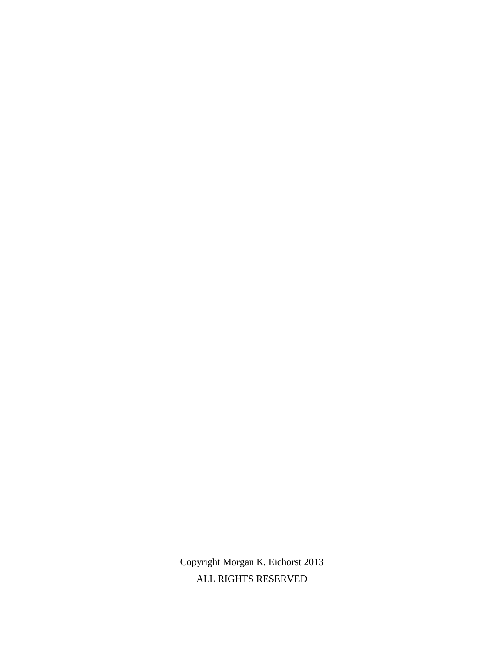Copyright Morgan K. Eichorst 2013 ALL RIGHTS RESERVED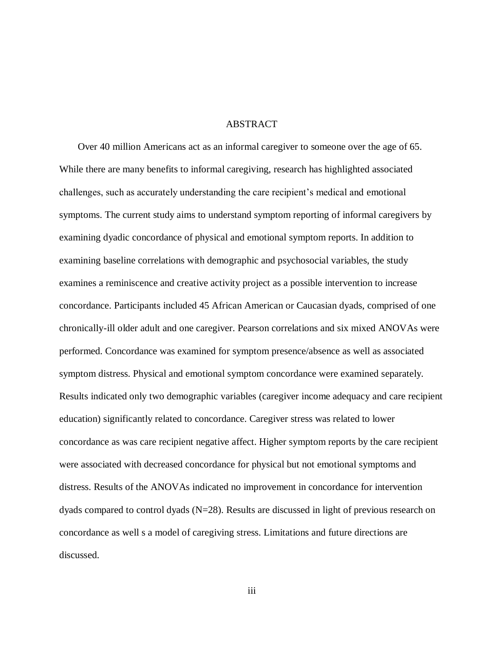#### ABSTRACT

Over 40 million Americans act as an informal caregiver to someone over the age of 65. While there are many benefits to informal caregiving, research has highlighted associated challenges, such as accurately understanding the care recipient's medical and emotional symptoms. The current study aims to understand symptom reporting of informal caregivers by examining dyadic concordance of physical and emotional symptom reports. In addition to examining baseline correlations with demographic and psychosocial variables, the study examines a reminiscence and creative activity project as a possible intervention to increase concordance. Participants included 45 African American or Caucasian dyads, comprised of one chronically-ill older adult and one caregiver. Pearson correlations and six mixed ANOVAs were performed. Concordance was examined for symptom presence/absence as well as associated symptom distress. Physical and emotional symptom concordance were examined separately. Results indicated only two demographic variables (caregiver income adequacy and care recipient education) significantly related to concordance. Caregiver stress was related to lower concordance as was care recipient negative affect. Higher symptom reports by the care recipient were associated with decreased concordance for physical but not emotional symptoms and distress. Results of the ANOVAs indicated no improvement in concordance for intervention dyads compared to control dyads  $(N=28)$ . Results are discussed in light of previous research on concordance as well s a model of caregiving stress. Limitations and future directions are discussed.

iii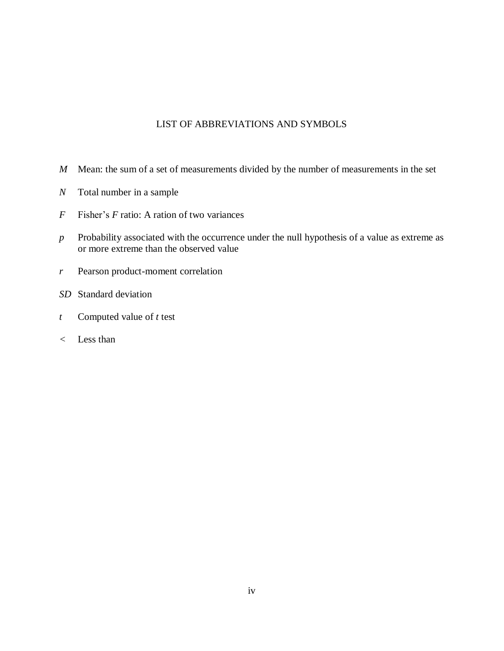# LIST OF ABBREVIATIONS AND SYMBOLS

- *M* Mean: the sum of a set of measurements divided by the number of measurements in the set
- *N* Total number in a sample
- *F* Fisher's *F* ratio: A ration of two variances
- *p* Probability associated with the occurrence under the null hypothesis of a value as extreme as or more extreme than the observed value
- *r* Pearson product-moment correlation
- *SD* Standard deviation
- *t* Computed value of *t* test
- *<* Less than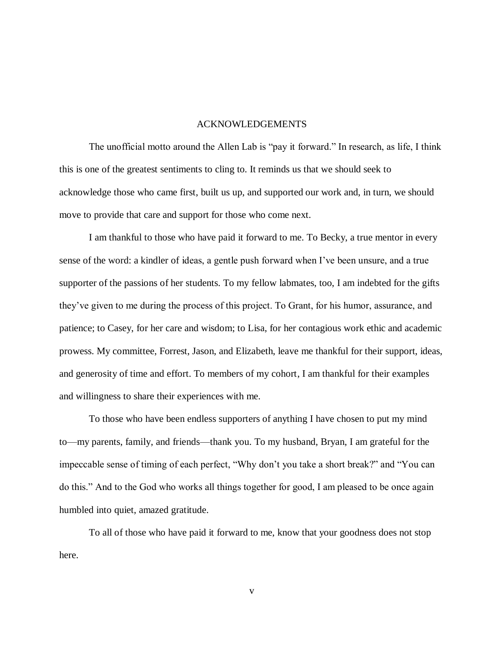#### ACKNOWLEDGEMENTS

The unofficial motto around the Allen Lab is "pay it forward." In research, as life, I think this is one of the greatest sentiments to cling to. It reminds us that we should seek to acknowledge those who came first, built us up, and supported our work and, in turn, we should move to provide that care and support for those who come next.

I am thankful to those who have paid it forward to me. To Becky, a true mentor in every sense of the word: a kindler of ideas, a gentle push forward when I've been unsure, and a true supporter of the passions of her students. To my fellow labmates, too, I am indebted for the gifts they've given to me during the process of this project. To Grant, for his humor, assurance, and patience; to Casey, for her care and wisdom; to Lisa, for her contagious work ethic and academic prowess. My committee, Forrest, Jason, and Elizabeth, leave me thankful for their support, ideas, and generosity of time and effort. To members of my cohort, I am thankful for their examples and willingness to share their experiences with me.

To those who have been endless supporters of anything I have chosen to put my mind to—my parents, family, and friends—thank you. To my husband, Bryan, I am grateful for the impeccable sense of timing of each perfect, "Why don't you take a short break?" and "You can do this." And to the God who works all things together for good, I am pleased to be once again humbled into quiet, amazed gratitude.

To all of those who have paid it forward to me, know that your goodness does not stop here.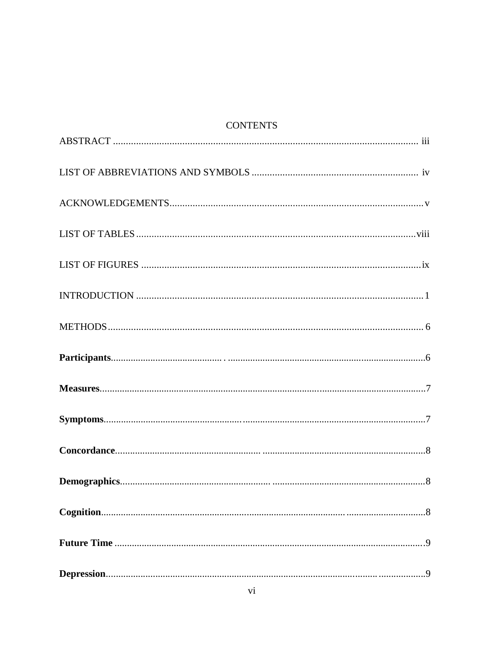# **CONTENTS**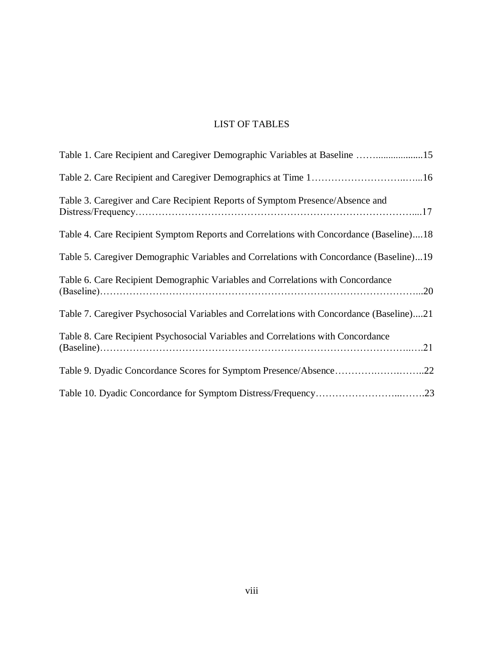# LIST OF TABLES

| Table 1. Care Recipient and Caregiver Demographic Variables at Baseline 15               |
|------------------------------------------------------------------------------------------|
|                                                                                          |
| Table 3. Caregiver and Care Recipient Reports of Symptom Presence/Absence and            |
| Table 4. Care Recipient Symptom Reports and Correlations with Concordance (Baseline)18   |
| Table 5. Caregiver Demographic Variables and Correlations with Concordance (Baseline)19  |
| Table 6. Care Recipient Demographic Variables and Correlations with Concordance          |
| Table 7. Caregiver Psychosocial Variables and Correlations with Concordance (Baseline)21 |
| Table 8. Care Recipient Psychosocial Variables and Correlations with Concordance         |
| Table 9. Dyadic Concordance Scores for Symptom Presence/Absence22                        |
|                                                                                          |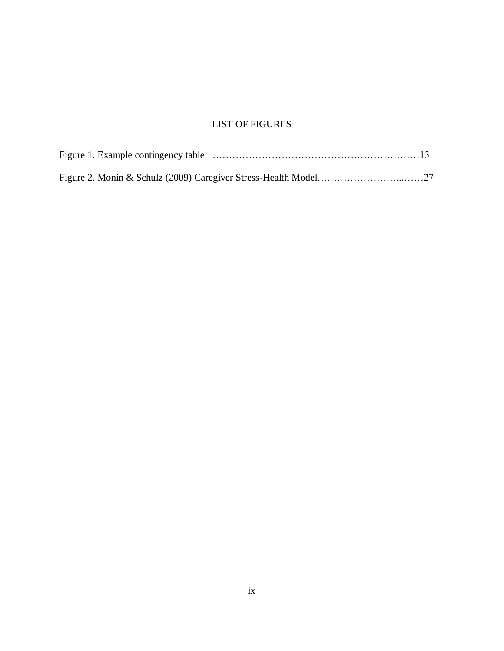# LIST OF FIGURES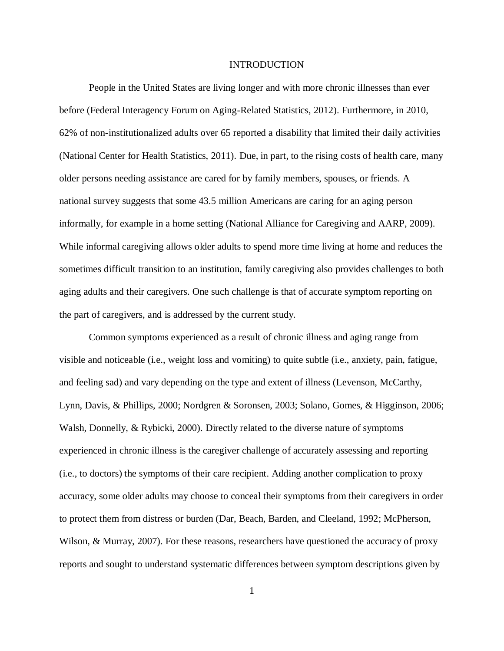#### INTRODUCTION

People in the United States are living longer and with more chronic illnesses than ever before (Federal Interagency Forum on Aging-Related Statistics, 2012). Furthermore, in 2010, 62% of non-institutionalized adults over 65 reported a disability that limited their daily activities (National Center for Health Statistics, 2011). Due, in part, to the rising costs of health care, many older persons needing assistance are cared for by family members, spouses, or friends. A national survey suggests that some 43.5 million Americans are caring for an aging person informally, for example in a home setting (National Alliance for Caregiving and AARP, 2009). While informal caregiving allows older adults to spend more time living at home and reduces the sometimes difficult transition to an institution, family caregiving also provides challenges to both aging adults and their caregivers. One such challenge is that of accurate symptom reporting on the part of caregivers, and is addressed by the current study.

Common symptoms experienced as a result of chronic illness and aging range from visible and noticeable (i.e., weight loss and vomiting) to quite subtle (i.e., anxiety, pain, fatigue, and feeling sad) and vary depending on the type and extent of illness (Levenson, McCarthy, Lynn, Davis, & Phillips, 2000; Nordgren & Soronsen, 2003; Solano, Gomes, & Higginson, 2006; Walsh, Donnelly, & Rybicki, 2000). Directly related to the diverse nature of symptoms experienced in chronic illness is the caregiver challenge of accurately assessing and reporting (i.e., to doctors) the symptoms of their care recipient. Adding another complication to proxy accuracy, some older adults may choose to conceal their symptoms from their caregivers in order to protect them from distress or burden (Dar, Beach, Barden, and Cleeland, 1992; McPherson, Wilson, & Murray, 2007). For these reasons, researchers have questioned the accuracy of proxy reports and sought to understand systematic differences between symptom descriptions given by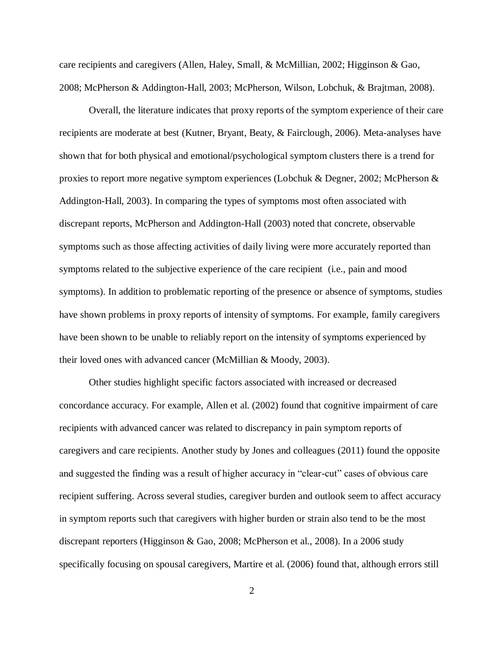care recipients and caregivers (Allen, Haley, Small, & McMillian, 2002; Higginson & Gao, 2008; McPherson & Addington-Hall, 2003; McPherson, Wilson, Lobchuk, & Brajtman, 2008).

Overall, the literature indicates that proxy reports of the symptom experience of their care recipients are moderate at best (Kutner, Bryant, Beaty, & Fairclough, 2006). Meta-analyses have shown that for both physical and emotional/psychological symptom clusters there is a trend for proxies to report more negative symptom experiences (Lobchuk & Degner, 2002; McPherson & Addington-Hall, 2003). In comparing the types of symptoms most often associated with discrepant reports, McPherson and Addington-Hall (2003) noted that concrete, observable symptoms such as those affecting activities of daily living were more accurately reported than symptoms related to the subjective experience of the care recipient (i.e., pain and mood symptoms). In addition to problematic reporting of the presence or absence of symptoms, studies have shown problems in proxy reports of intensity of symptoms. For example, family caregivers have been shown to be unable to reliably report on the intensity of symptoms experienced by their loved ones with advanced cancer (McMillian & Moody, 2003).

Other studies highlight specific factors associated with increased or decreased concordance accuracy. For example, Allen et al. (2002) found that cognitive impairment of care recipients with advanced cancer was related to discrepancy in pain symptom reports of caregivers and care recipients. Another study by Jones and colleagues (2011) found the opposite and suggested the finding was a result of higher accuracy in "clear-cut" cases of obvious care recipient suffering. Across several studies, caregiver burden and outlook seem to affect accuracy in symptom reports such that caregivers with higher burden or strain also tend to be the most discrepant reporters (Higginson & Gao, 2008; McPherson et al., 2008). In a 2006 study specifically focusing on spousal caregivers, Martire et al. (2006) found that, although errors still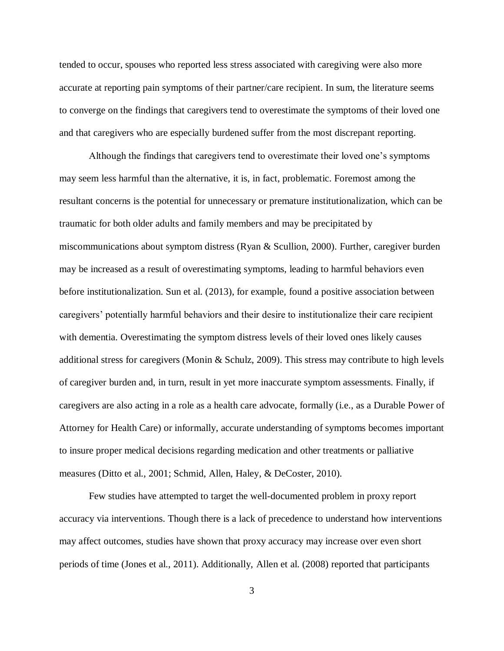tended to occur, spouses who reported less stress associated with caregiving were also more accurate at reporting pain symptoms of their partner/care recipient. In sum, the literature seems to converge on the findings that caregivers tend to overestimate the symptoms of their loved one and that caregivers who are especially burdened suffer from the most discrepant reporting.

Although the findings that caregivers tend to overestimate their loved one's symptoms may seem less harmful than the alternative, it is, in fact, problematic. Foremost among the resultant concerns is the potential for unnecessary or premature institutionalization, which can be traumatic for both older adults and family members and may be precipitated by miscommunications about symptom distress (Ryan & Scullion, 2000). Further, caregiver burden may be increased as a result of overestimating symptoms, leading to harmful behaviors even before institutionalization. Sun et al. (2013), for example, found a positive association between caregivers' potentially harmful behaviors and their desire to institutionalize their care recipient with dementia. Overestimating the symptom distress levels of their loved ones likely causes additional stress for caregivers (Monin & Schulz, 2009). This stress may contribute to high levels of caregiver burden and, in turn, result in yet more inaccurate symptom assessments. Finally, if caregivers are also acting in a role as a health care advocate, formally (i.e., as a Durable Power of Attorney for Health Care) or informally, accurate understanding of symptoms becomes important to insure proper medical decisions regarding medication and other treatments or palliative measures (Ditto et al., 2001; Schmid, Allen, Haley, & DeCoster, 2010).

Few studies have attempted to target the well-documented problem in proxy report accuracy via interventions. Though there is a lack of precedence to understand how interventions may affect outcomes, studies have shown that proxy accuracy may increase over even short periods of time (Jones et al., 2011). Additionally, Allen et al. (2008) reported that participants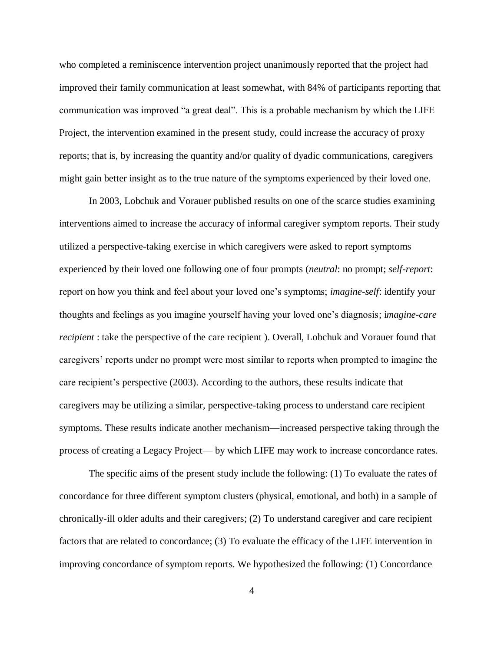who completed a reminiscence intervention project unanimously reported that the project had improved their family communication at least somewhat, with 84% of participants reporting that communication was improved "a great deal". This is a probable mechanism by which the LIFE Project, the intervention examined in the present study, could increase the accuracy of proxy reports; that is, by increasing the quantity and/or quality of dyadic communications, caregivers might gain better insight as to the true nature of the symptoms experienced by their loved one.

In 2003, Lobchuk and Vorauer published results on one of the scarce studies examining interventions aimed to increase the accuracy of informal caregiver symptom reports. Their study utilized a perspective-taking exercise in which caregivers were asked to report symptoms experienced by their loved one following one of four prompts (*neutral*: no prompt; *self-report*: report on how you think and feel about your loved one's symptoms; *imagine-self*: identify your thoughts and feelings as you imagine yourself having your loved one's diagnosis; i*magine-care recipient* : take the perspective of the care recipient ). Overall, Lobchuk and Vorauer found that caregivers' reports under no prompt were most similar to reports when prompted to imagine the care recipient's perspective (2003). According to the authors, these results indicate that caregivers may be utilizing a similar, perspective-taking process to understand care recipient symptoms. These results indicate another mechanism—increased perspective taking through the process of creating a Legacy Project— by which LIFE may work to increase concordance rates.

The specific aims of the present study include the following: (1) To evaluate the rates of concordance for three different symptom clusters (physical, emotional, and both) in a sample of chronically-ill older adults and their caregivers; (2) To understand caregiver and care recipient factors that are related to concordance; (3) To evaluate the efficacy of the LIFE intervention in improving concordance of symptom reports. We hypothesized the following: (1) Concordance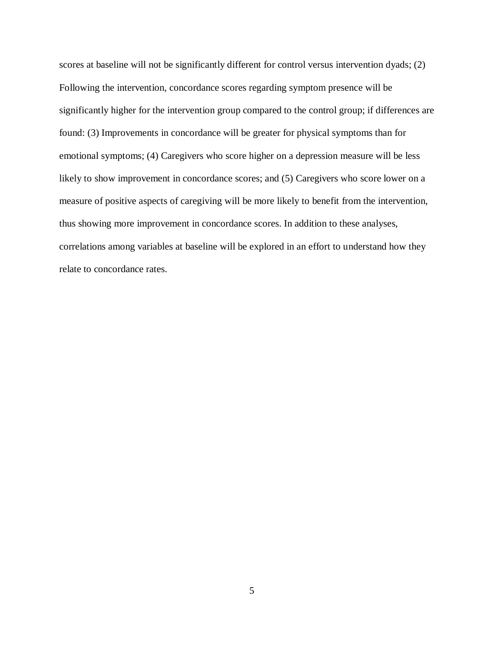scores at baseline will not be significantly different for control versus intervention dyads; (2) Following the intervention, concordance scores regarding symptom presence will be significantly higher for the intervention group compared to the control group; if differences are found: (3) Improvements in concordance will be greater for physical symptoms than for emotional symptoms; (4) Caregivers who score higher on a depression measure will be less likely to show improvement in concordance scores; and (5) Caregivers who score lower on a measure of positive aspects of caregiving will be more likely to benefit from the intervention, thus showing more improvement in concordance scores. In addition to these analyses, correlations among variables at baseline will be explored in an effort to understand how they relate to concordance rates.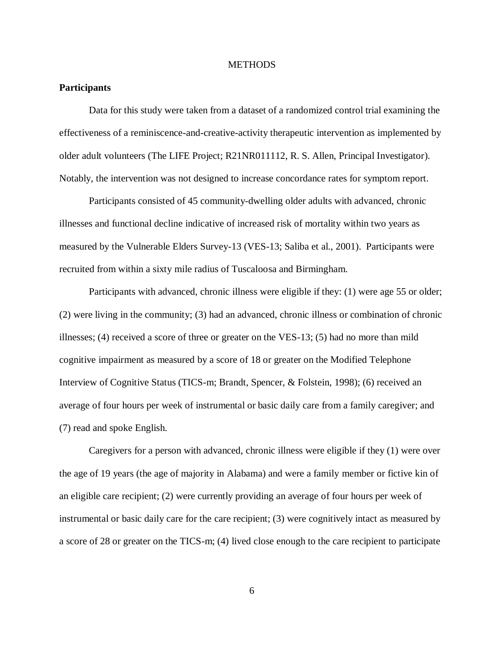#### **METHODS**

### **Participants**

Data for this study were taken from a dataset of a randomized control trial examining the effectiveness of a reminiscence-and-creative-activity therapeutic intervention as implemented by older adult volunteers (The LIFE Project; R21NR011112, R. S. Allen, Principal Investigator). Notably, the intervention was not designed to increase concordance rates for symptom report.

Participants consisted of 45 community-dwelling older adults with advanced, chronic illnesses and functional decline indicative of increased risk of mortality within two years as measured by the Vulnerable Elders Survey-13 (VES-13; Saliba et al., 2001). Participants were recruited from within a sixty mile radius of Tuscaloosa and Birmingham.

Participants with advanced, chronic illness were eligible if they: (1) were age 55 or older; (2) were living in the community; (3) had an advanced, chronic illness or combination of chronic illnesses; (4) received a score of three or greater on the VES-13; (5) had no more than mild cognitive impairment as measured by a score of 18 or greater on the Modified Telephone Interview of Cognitive Status (TICS-m; Brandt, Spencer, & Folstein, 1998); (6) received an average of four hours per week of instrumental or basic daily care from a family caregiver; and (7) read and spoke English.

Caregivers for a person with advanced, chronic illness were eligible if they (1) were over the age of 19 years (the age of majority in Alabama) and were a family member or fictive kin of an eligible care recipient; (2) were currently providing an average of four hours per week of instrumental or basic daily care for the care recipient; (3) were cognitively intact as measured by a score of 28 or greater on the TICS-m; (4) lived close enough to the care recipient to participate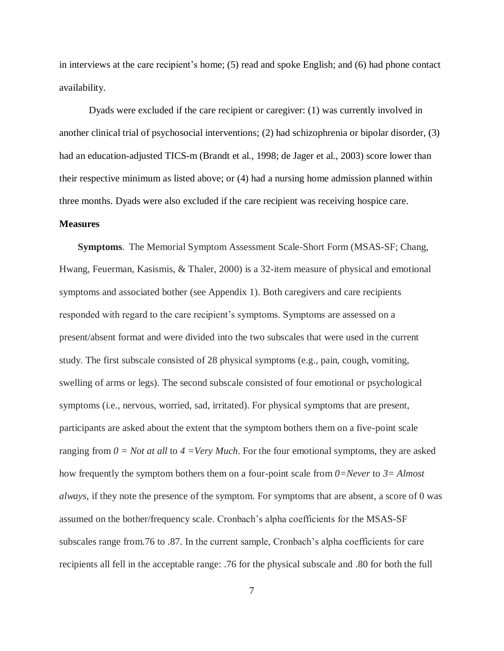in interviews at the care recipient's home; (5) read and spoke English; and (6) had phone contact availability.

Dyads were excluded if the care recipient or caregiver: (1) was currently involved in another clinical trial of psychosocial interventions; (2) had schizophrenia or bipolar disorder, (3) had an education-adjusted TICS-m (Brandt et al., 1998; de Jager et al., 2003) score lower than their respective minimum as listed above; or (4) had a nursing home admission planned within three months. Dyads were also excluded if the care recipient was receiving hospice care.

### **Measures**

**Symptoms**. The Memorial Symptom Assessment Scale-Short Form (MSAS-SF; Chang, Hwang, Feuerman, Kasismis, & Thaler, 2000) is a 32-item measure of physical and emotional symptoms and associated bother (see Appendix 1). Both caregivers and care recipients responded with regard to the care recipient's symptoms. Symptoms are assessed on a present/absent format and were divided into the two subscales that were used in the current study. The first subscale consisted of 28 physical symptoms (e.g., pain, cough, vomiting, swelling of arms or legs). The second subscale consisted of four emotional or psychological symptoms (i.e., nervous, worried, sad, irritated). For physical symptoms that are present, participants are asked about the extent that the symptom bothers them on a five-point scale ranging from  $0 = Not$  at all to  $4 = Very Much$ . For the four emotional symptoms, they are asked how frequently the symptom bothers them on a four-point scale from *0=Never* to *3= Almost always*, if they note the presence of the symptom. For symptoms that are absent, a score of 0 was assumed on the bother/frequency scale. Cronbach's alpha coefficients for the MSAS-SF subscales range from.76 to .87. In the current sample, Cronbach's alpha coefficients for care recipients all fell in the acceptable range: .76 for the physical subscale and .80 for both the full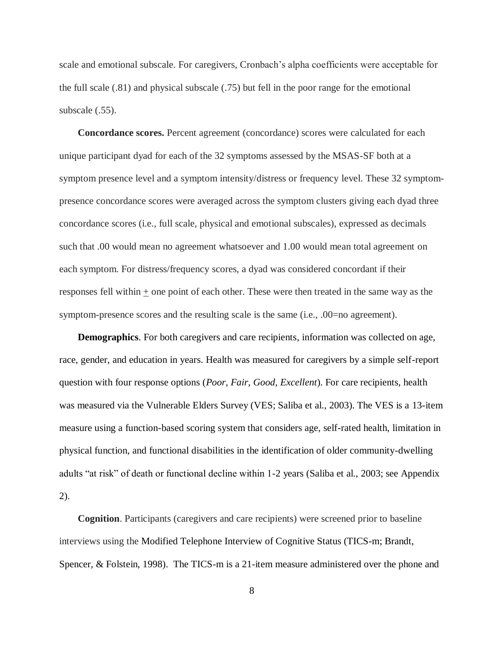scale and emotional subscale. For caregivers, Cronbach's alpha coefficients were acceptable for the full scale (.81) and physical subscale (.75) but fell in the poor range for the emotional subscale (.55).

**Concordance scores.** Percent agreement (concordance) scores were calculated for each unique participant dyad for each of the 32 symptoms assessed by the MSAS-SF both at a symptom presence level and a symptom intensity/distress or frequency level. These 32 symptompresence concordance scores were averaged across the symptom clusters giving each dyad three concordance scores (i.e., full scale, physical and emotional subscales), expressed as decimals such that .00 would mean no agreement whatsoever and 1.00 would mean total agreement on each symptom. For distress/frequency scores, a dyad was considered concordant if their responses fell within + one point of each other. These were then treated in the same way as the symptom-presence scores and the resulting scale is the same (i.e., .00=no agreement).

**Demographics**. For both caregivers and care recipients, information was collected on age, race, gender, and education in years. Health was measured for caregivers by a simple self-report question with four response options (*Poor, Fair, Good, Excellent*). For care recipients, health was measured via the Vulnerable Elders Survey (VES; Saliba et al., 2003). The VES is a 13-item measure using a function-based scoring system that considers age, self-rated health, limitation in physical function, and functional disabilities in the identification of older community-dwelling adults "at risk" of death or functional decline within 1-2 years (Saliba et al., 2003; see Appendix 2).

**Cognition**. Participants (caregivers and care recipients) were screened prior to baseline interviews using the Modified Telephone Interview of Cognitive Status (TICS-m; Brandt, Spencer, & Folstein, 1998). The TICS-m is a 21-item measure administered over the phone and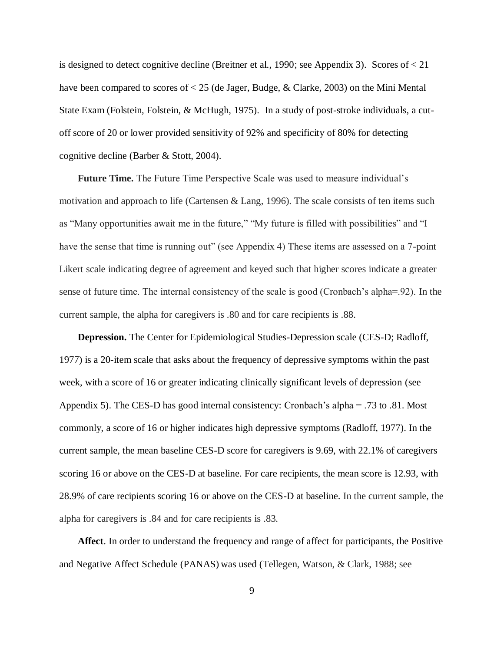is designed to detect cognitive decline (Breitner et al., 1990; see Appendix 3). Scores of < 21 have been compared to scores of < 25 (de Jager, Budge, & Clarke, 2003) on the Mini Mental State Exam (Folstein, Folstein, & McHugh, 1975). In a study of post-stroke individuals, a cutoff score of 20 or lower provided sensitivity of 92% and specificity of 80% for detecting cognitive decline (Barber & Stott, 2004).

**Future Time.** The Future Time Perspective Scale was used to measure individual's motivation and approach to life (Cartensen & Lang, 1996). The scale consists of ten items such as "Many opportunities await me in the future," "My future is filled with possibilities" and "I have the sense that time is running out" (see Appendix 4) These items are assessed on a 7-point Likert scale indicating degree of agreement and keyed such that higher scores indicate a greater sense of future time. The internal consistency of the scale is good (Cronbach's alpha=.92). In the current sample, the alpha for caregivers is .80 and for care recipients is .88.

**Depression.** The Center for Epidemiological Studies-Depression scale (CES-D; Radloff, 1977) is a 20-item scale that asks about the frequency of depressive symptoms within the past week, with a score of 16 or greater indicating clinically significant levels of depression (see Appendix 5). The CES-D has good internal consistency: Cronbach's alpha = .73 to .81. Most commonly, a score of 16 or higher indicates high depressive symptoms (Radloff, 1977). In the current sample, the mean baseline CES-D score for caregivers is 9.69, with 22.1% of caregivers scoring 16 or above on the CES-D at baseline. For care recipients, the mean score is 12.93, with 28.9% of care recipients scoring 16 or above on the CES-D at baseline. In the current sample, the alpha for caregivers is .84 and for care recipients is .83.

**Affect**. In order to understand the frequency and range of affect for participants, the Positive and Negative Affect Schedule (PANAS) was used (Tellegen, Watson, & Clark, 1988; see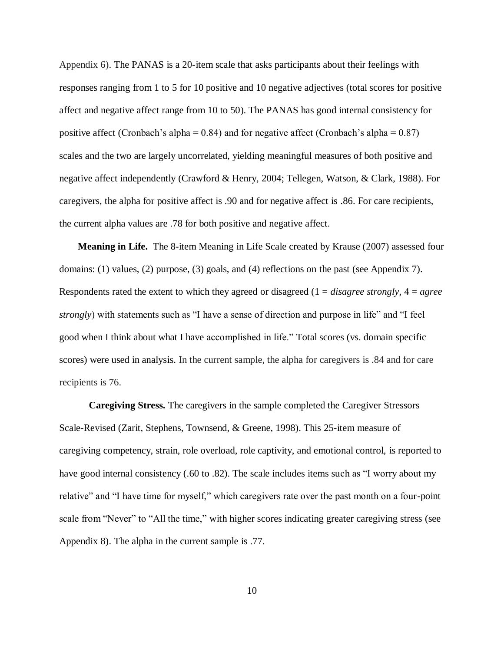Appendix 6). The PANAS is a 20-item scale that asks participants about their feelings with responses ranging from 1 to 5 for 10 positive and 10 negative adjectives (total scores for positive affect and negative affect range from 10 to 50). The PANAS has good internal consistency for positive affect (Cronbach's alpha =  $0.84$ ) and for negative affect (Cronbach's alpha =  $0.87$ ) scales and the two are largely uncorrelated, yielding meaningful measures of both positive and negative affect independently (Crawford & Henry, 2004; Tellegen, Watson, & Clark, 1988). For caregivers, the alpha for positive affect is .90 and for negative affect is .86. For care recipients, the current alpha values are .78 for both positive and negative affect.

**Meaning in Life.** The 8-item Meaning in Life Scale created by Krause (2007) assessed four domains: (1) values, (2) purpose, (3) goals, and (4) reflections on the past (see Appendix 7). Respondents rated the extent to which they agreed or disagreed (1 = *disagree strongly*, 4 = *agree strongly*) with statements such as "I have a sense of direction and purpose in life" and "I feel good when I think about what I have accomplished in life." Total scores (vs. domain specific scores) were used in analysis. In the current sample, the alpha for caregivers is .84 and for care recipients is 76.

**Caregiving Stress.** The caregivers in the sample completed the Caregiver Stressors Scale-Revised (Zarit, Stephens, Townsend, & Greene, 1998). This 25-item measure of caregiving competency, strain, role overload, role captivity, and emotional control, is reported to have good internal consistency (.60 to .82). The scale includes items such as "I worry about my relative" and "I have time for myself," which caregivers rate over the past month on a four-point scale from "Never" to "All the time," with higher scores indicating greater caregiving stress (see Appendix 8). The alpha in the current sample is .77.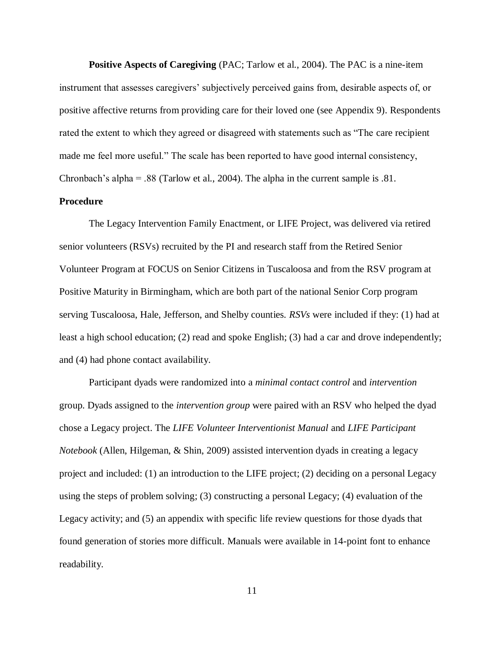**Positive Aspects of Caregiving** (PAC; Tarlow et al., 2004). The PAC is a nine-item instrument that assesses caregivers' subjectively perceived gains from, desirable aspects of, or positive affective returns from providing care for their loved one (see Appendix 9). Respondents rated the extent to which they agreed or disagreed with statements such as "The care recipient" made me feel more useful." The scale has been reported to have good internal consistency, Chronbach's alpha = .88 (Tarlow et al., 2004). The alpha in the current sample is .81.

## **Procedure**

The Legacy Intervention Family Enactment, or LIFE Project, was delivered via retired senior volunteers (RSVs) recruited by the PI and research staff from the Retired Senior Volunteer Program at FOCUS on Senior Citizens in Tuscaloosa and from the RSV program at Positive Maturity in Birmingham, which are both part of the national Senior Corp program serving Tuscaloosa, Hale, Jefferson, and Shelby counties. *RSVs* were included if they: (1) had at least a high school education; (2) read and spoke English; (3) had a car and drove independently; and (4) had phone contact availability.

Participant dyads were randomized into a *minimal contact control* and *intervention* group. Dyads assigned to the *intervention group* were paired with an RSV who helped the dyad chose a Legacy project. The *LIFE Volunteer Interventionist Manual* and *LIFE Participant Notebook* (Allen, Hilgeman, & Shin, 2009) assisted intervention dyads in creating a legacy project and included: (1) an introduction to the LIFE project; (2) deciding on a personal Legacy using the steps of problem solving; (3) constructing a personal Legacy; (4) evaluation of the Legacy activity; and (5) an appendix with specific life review questions for those dyads that found generation of stories more difficult. Manuals were available in 14-point font to enhance readability.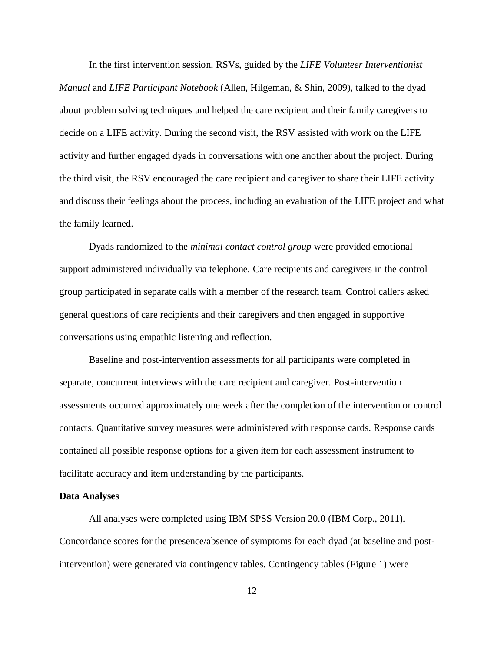In the first intervention session, RSVs, guided by the *LIFE Volunteer Interventionist Manual* and *LIFE Participant Notebook* (Allen, Hilgeman, & Shin, 2009), talked to the dyad about problem solving techniques and helped the care recipient and their family caregivers to decide on a LIFE activity. During the second visit, the RSV assisted with work on the LIFE activity and further engaged dyads in conversations with one another about the project. During the third visit, the RSV encouraged the care recipient and caregiver to share their LIFE activity and discuss their feelings about the process, including an evaluation of the LIFE project and what the family learned.

Dyads randomized to the *minimal contact control group* were provided emotional support administered individually via telephone. Care recipients and caregivers in the control group participated in separate calls with a member of the research team. Control callers asked general questions of care recipients and their caregivers and then engaged in supportive conversations using empathic listening and reflection.

Baseline and post-intervention assessments for all participants were completed in separate, concurrent interviews with the care recipient and caregiver. Post-intervention assessments occurred approximately one week after the completion of the intervention or control contacts. Quantitative survey measures were administered with response cards. Response cards contained all possible response options for a given item for each assessment instrument to facilitate accuracy and item understanding by the participants.

#### **Data Analyses**

All analyses were completed using IBM SPSS Version 20.0 (IBM Corp., 2011). Concordance scores for the presence/absence of symptoms for each dyad (at baseline and postintervention) were generated via contingency tables. Contingency tables (Figure 1) were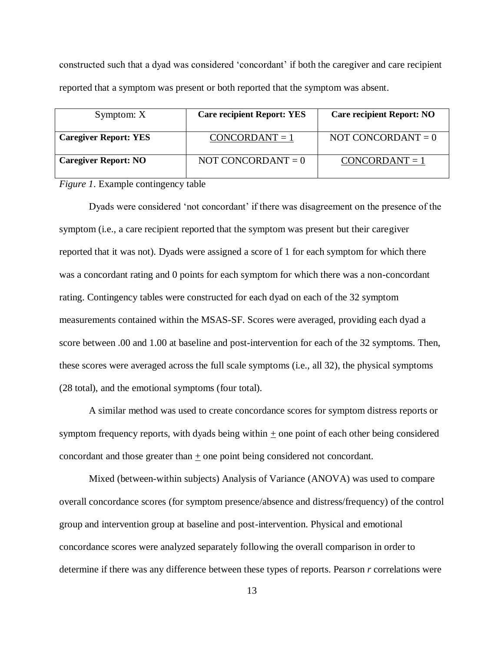constructed such that a dyad was considered ‗concordant' if both the caregiver and care recipient reported that a symptom was present or both reported that the symptom was absent.

| Symptom: X                   | <b>Care recipient Report: YES</b> | <b>Care recipient Report: NO</b> |
|------------------------------|-----------------------------------|----------------------------------|
| <b>Caregiver Report: YES</b> | $CONCORDANT = 1$                  | NOT CONCORDANT $= 0$             |
| <b>Caregiver Report: NO</b>  | NOT CONCORDANT $= 0$              | $CONCORDANT = 1$                 |

*Figure 1*. Example contingency table

Dyads were considered 'not concordant' if there was disagreement on the presence of the symptom (i.e., a care recipient reported that the symptom was present but their caregiver reported that it was not). Dyads were assigned a score of 1 for each symptom for which there was a concordant rating and 0 points for each symptom for which there was a non-concordant rating. Contingency tables were constructed for each dyad on each of the 32 symptom measurements contained within the MSAS-SF. Scores were averaged, providing each dyad a score between .00 and 1.00 at baseline and post-intervention for each of the 32 symptoms. Then, these scores were averaged across the full scale symptoms (i.e., all 32), the physical symptoms (28 total), and the emotional symptoms (four total).

A similar method was used to create concordance scores for symptom distress reports or symptom frequency reports, with dyads being within  $+$  one point of each other being considered concordant and those greater than  $\pm$  one point being considered not concordant.

Mixed (between-within subjects) Analysis of Variance (ANOVA) was used to compare overall concordance scores (for symptom presence/absence and distress/frequency) of the control group and intervention group at baseline and post-intervention. Physical and emotional concordance scores were analyzed separately following the overall comparison in order to determine if there was any difference between these types of reports. Pearson *r* correlations were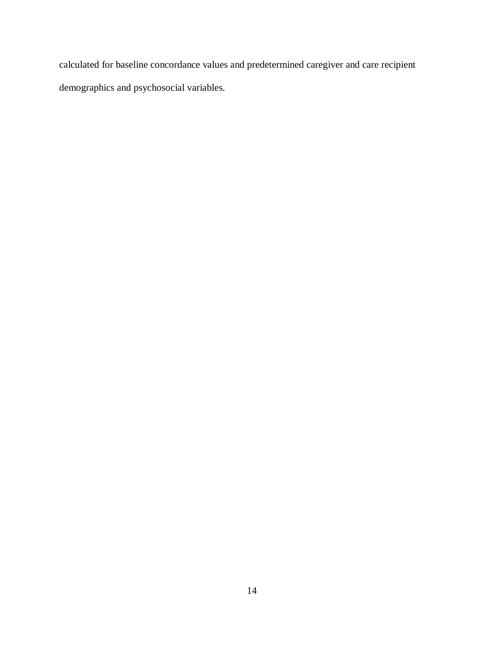calculated for baseline concordance values and predetermined caregiver and care recipient demographics and psychosocial variables.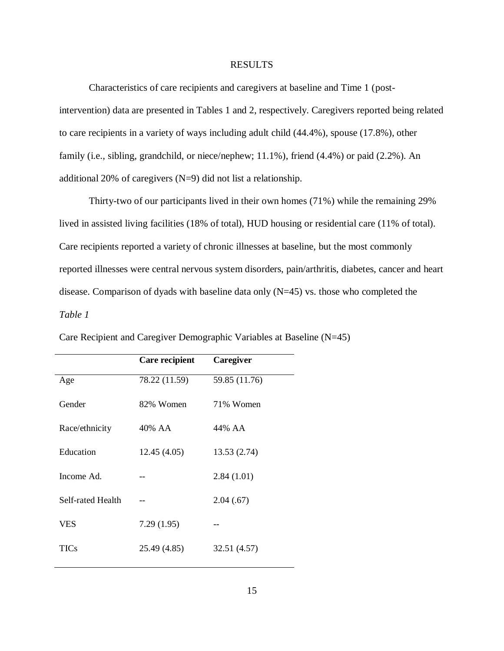#### RESULTS

Characteristics of care recipients and caregivers at baseline and Time 1 (postintervention) data are presented in Tables 1 and 2, respectively. Caregivers reported being related to care recipients in a variety of ways including adult child (44.4%), spouse (17.8%), other family (i.e., sibling, grandchild, or niece/nephew; 11.1%), friend (4.4%) or paid (2.2%). An additional 20% of caregivers (N=9) did not list a relationship.

Thirty-two of our participants lived in their own homes (71%) while the remaining 29% lived in assisted living facilities (18% of total), HUD housing or residential care (11% of total). Care recipients reported a variety of chronic illnesses at baseline, but the most commonly reported illnesses were central nervous system disorders, pain/arthritis, diabetes, cancer and heart disease. Comparison of dyads with baseline data only (N=45) vs. those who completed the *Table 1*

|                   | Care recipient | Caregiver     |
|-------------------|----------------|---------------|
| Age               | 78.22 (11.59)  | 59.85 (11.76) |
| Gender            | 82% Women      | 71% Women     |
| Race/ethnicity    | 40% AA         | 44% AA        |
| Education         | 12.45(4.05)    | 13.53 (2.74)  |
| Income Ad.        |                | 2.84(1.01)    |
| Self-rated Health |                | 2.04(0.67)    |
| <b>VES</b>        | 7.29(1.95)     |               |
| <b>TICs</b>       | 25.49 (4.85)   | 32.51 (4.57)  |
|                   |                |               |

Care Recipient and Caregiver Demographic Variables at Baseline (N=45)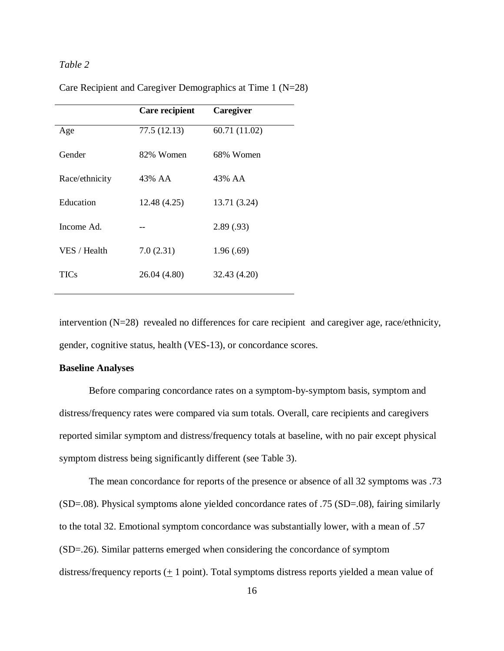## *Table 2*

|                | Care recipient | Caregiver     |
|----------------|----------------|---------------|
| Age            | 77.5 (12.13)   | 60.71 (11.02) |
| Gender         | 82% Women      | 68% Women     |
| Race/ethnicity | 43% AA         | 43% AA        |
| Education      | 12.48 (4.25)   | 13.71 (3.24)  |
| Income Ad.     |                | 2.89(.93)     |
| VES / Health   | 7.0(2.31)      | 1.96(.69)     |
| TICs           | 26.04 (4.80)   | 32.43 (4.20)  |

Care Recipient and Caregiver Demographics at Time 1 (N=28)

intervention (N=28) revealed no differences for care recipient and caregiver age, race/ethnicity, gender, cognitive status, health (VES-13), or concordance scores.

### **Baseline Analyses**

Before comparing concordance rates on a symptom-by-symptom basis, symptom and distress/frequency rates were compared via sum totals. Overall, care recipients and caregivers reported similar symptom and distress/frequency totals at baseline, with no pair except physical symptom distress being significantly different (see Table 3).

The mean concordance for reports of the presence or absence of all 32 symptoms was .73 (SD=.08). Physical symptoms alone yielded concordance rates of .75 (SD=.08), fairing similarly to the total 32. Emotional symptom concordance was substantially lower, with a mean of .57 (SD=.26). Similar patterns emerged when considering the concordance of symptom distress/frequency reports  $(± 1$  point). Total symptoms distress reports yielded a mean value of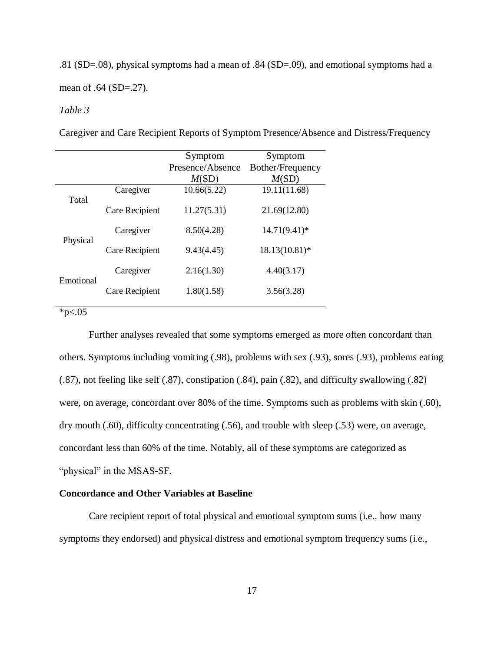.81 (SD=.08), physical symptoms had a mean of .84 (SD=.09), and emotional symptoms had a mean of .64 (SD=.27).

## *Table 3*

Caregiver and Care Recipient Reports of Symptom Presence/Absence and Distress/Frequency

|                                     |                | Symptom          | Symptom          |
|-------------------------------------|----------------|------------------|------------------|
|                                     |                | Presence/Absence | Bother/Frequency |
|                                     |                | M(SD)            | M(SD)            |
| Total                               | Caregiver      | 10.66(5.22)      | 19.11(11.68)     |
|                                     | Care Recipient | 11.27(5.31)      | 21.69(12.80)     |
| Physical                            | Caregiver      | 8.50(4.28)       | $14.71(9.41)^*$  |
|                                     | Care Recipient | 9.43(4.45)       | $18.13(10.81)$ * |
| Emotional                           | Caregiver      | 2.16(1.30)       | 4.40(3.17)       |
|                                     | Care Recipient | 1.80(1.58)       | 3.56(3.28)       |
| $\star$ $\sim$ $\Lambda$ $\epsilon$ |                |                  |                  |

 $*p<.05$ 

Further analyses revealed that some symptoms emerged as more often concordant than others. Symptoms including vomiting (.98), problems with sex (.93), sores (.93), problems eating (.87), not feeling like self (.87), constipation (.84), pain (.82), and difficulty swallowing (.82) were, on average, concordant over 80% of the time. Symptoms such as problems with skin (.60), dry mouth (.60), difficulty concentrating (.56), and trouble with sleep (.53) were, on average, concordant less than 60% of the time. Notably, all of these symptoms are categorized as "physical" in the MSAS-SF.

## **Concordance and Other Variables at Baseline**

Care recipient report of total physical and emotional symptom sums (i.e., how many symptoms they endorsed) and physical distress and emotional symptom frequency sums (i.e.,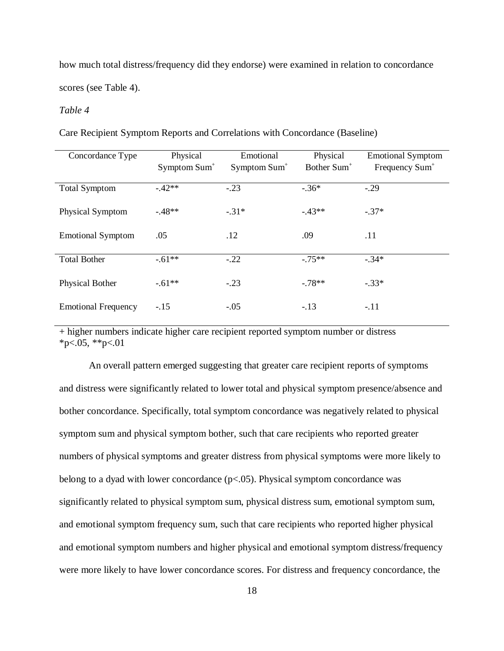how much total distress/frequency did they endorse) were examined in relation to concordance scores (see Table 4).

## *Table 4*

Care Recipient Symptom Reports and Correlations with Concordance (Baseline)

| Concordance Type           | Physical                 | Emotional                | Physical                | <b>Emotional Symptom</b>   |
|----------------------------|--------------------------|--------------------------|-------------------------|----------------------------|
|                            | Symptom Sum <sup>+</sup> | Symptom Sum <sup>+</sup> | Bother Sum <sup>+</sup> | Frequency Sum <sup>+</sup> |
|                            |                          |                          |                         |                            |
| <b>Total Symptom</b>       | $-42**$                  | $-.23$                   | $-.36*$                 | $-.29$                     |
|                            |                          |                          |                         |                            |
| Physical Symptom           | $-48**$                  | $-.31*$                  | $-43**$                 | $-.37*$                    |
|                            |                          |                          |                         |                            |
| <b>Emotional Symptom</b>   | .05                      | .12                      | .09                     | .11                        |
|                            |                          |                          |                         |                            |
| <b>Total Bother</b>        | $-.61**$                 | $-.22$                   | $-.75**$                | $-.34*$                    |
|                            |                          |                          |                         |                            |
| <b>Physical Bother</b>     | $-.61**$                 | $-.23$                   | $-.78**$                | $-.33*$                    |
|                            |                          |                          |                         |                            |
| <b>Emotional Frequency</b> | $-.15$                   | $-.05$                   | $-.13$                  | $-.11$                     |
|                            |                          |                          |                         |                            |

+ higher numbers indicate higher care recipient reported symptom number or distress  $*p<.05$ ,  $*p<.01$ 

An overall pattern emerged suggesting that greater care recipient reports of symptoms and distress were significantly related to lower total and physical symptom presence/absence and bother concordance. Specifically, total symptom concordance was negatively related to physical symptom sum and physical symptom bother, such that care recipients who reported greater numbers of physical symptoms and greater distress from physical symptoms were more likely to belong to a dyad with lower concordance  $(p<.05)$ . Physical symptom concordance was significantly related to physical symptom sum, physical distress sum, emotional symptom sum, and emotional symptom frequency sum, such that care recipients who reported higher physical and emotional symptom numbers and higher physical and emotional symptom distress/frequency were more likely to have lower concordance scores. For distress and frequency concordance, the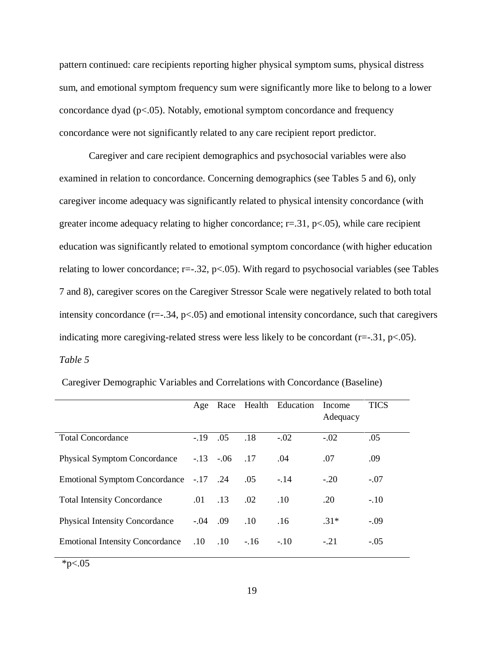pattern continued: care recipients reporting higher physical symptom sums, physical distress sum, and emotional symptom frequency sum were significantly more like to belong to a lower concordance dyad  $(p<0.05)$ . Notably, emotional symptom concordance and frequency concordance were not significantly related to any care recipient report predictor.

Caregiver and care recipient demographics and psychosocial variables were also examined in relation to concordance. Concerning demographics (see Tables 5 and 6), only caregiver income adequacy was significantly related to physical intensity concordance (with greater income adequacy relating to higher concordance;  $r=31$ ,  $p<0.05$ ), while care recipient education was significantly related to emotional symptom concordance (with higher education relating to lower concordance;  $r=-.32$ ,  $p<-.05$ ). With regard to psychosocial variables (see Tables 7 and 8), caregiver scores on the Caregiver Stressor Scale were negatively related to both total intensity concordance  $(r=-.34, p<.05)$  and emotional intensity concordance, such that caregivers indicating more caregiving-related stress were less likely to be concordant  $(r=-.31, p<.05)$ . *Table 5*

|                                        | Age         |                |        | Race Health Education | Income<br>Adequacy | <b>TICS</b> |
|----------------------------------------|-------------|----------------|--------|-----------------------|--------------------|-------------|
| <b>Total Concordance</b>               | $-.19$      | .05            | .18    | $-.02$                | $-.02$             | .05         |
| <b>Physical Symptom Concordance</b>    |             | $-.13-.06$ .17 |        | .04                   | .07                | .09         |
| Emotional Symptom Concordance -.17 .24 |             |                | .05    | $-.14$                | $-.20$             | $-.07$      |
| <b>Total Intensity Concordance</b>     | .01         | .13            | .02    | .10                   | .20                | $-.10$      |
| <b>Physical Intensity Concordance</b>  |             | $-0.04$ $0.09$ | .10    | .16                   | $.31*$             | $-.09$      |
| <b>Emotional Intensity Concordance</b> | $.10$ $.10$ |                | $-.16$ | $-.10$                | $-.21$             | $-.05$      |

Caregiver Demographic Variables and Correlations with Concordance (Baseline)

 $*p<.05$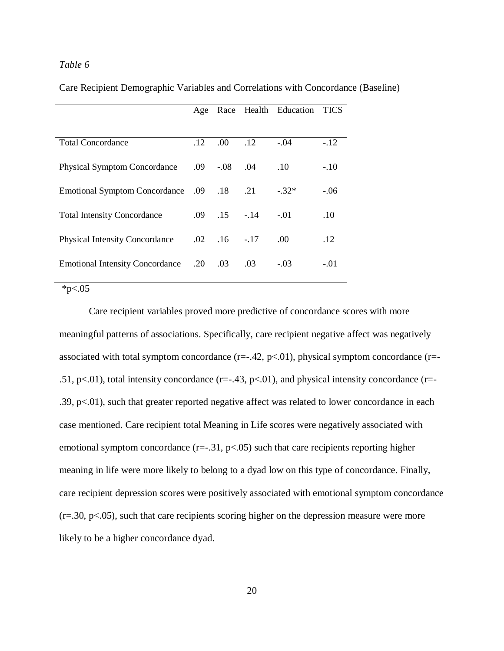## *Table 6*

Care Recipient Demographic Variables and Correlations with Concordance (Baseline)

|                                        | Age |                    |        | Race Health Education | <b>TICS</b> |
|----------------------------------------|-----|--------------------|--------|-----------------------|-------------|
|                                        |     |                    |        |                       |             |
| <b>Total Concordance</b>               | .12 | .00 <sub>1</sub>   | .12    | $-.04$                | $-.12$      |
| <b>Physical Symptom Concordance</b>    |     | .09 -.08           | .04    | .10                   | $-.10$      |
| Emotional Symptom Concordance .09 .18  |     |                    | .21    | $-.32*$               | $-.06$      |
| <b>Total Intensity Concordance</b>     |     | $.09$ $.15$ $-.14$ |        | $-.01$                | .10         |
| <b>Physical Intensity Concordance</b>  |     | $.02 \quad .16$    | $-.17$ | .00.                  | .12         |
| <b>Emotional Intensity Concordance</b> | .20 | .03                | .03    | $-.03$                | $-.01$      |

### $*p<.05$

Care recipient variables proved more predictive of concordance scores with more meaningful patterns of associations. Specifically, care recipient negative affect was negatively associated with total symptom concordance  $(r=-.42, p<.01)$ , physical symptom concordance  $(r=-.42, p<.01)$ .51, p $\lt$ .01), total intensity concordance (r=-.43, p $\lt$ .01), and physical intensity concordance (r=-.39,  $p<.01$ ), such that greater reported negative affect was related to lower concordance in each case mentioned. Care recipient total Meaning in Life scores were negatively associated with emotional symptom concordance  $(r=-.31, p<.05)$  such that care recipients reporting higher meaning in life were more likely to belong to a dyad low on this type of concordance. Finally, care recipient depression scores were positively associated with emotional symptom concordance  $(r=.30, p<.05)$ , such that care recipients scoring higher on the depression measure were more likely to be a higher concordance dyad.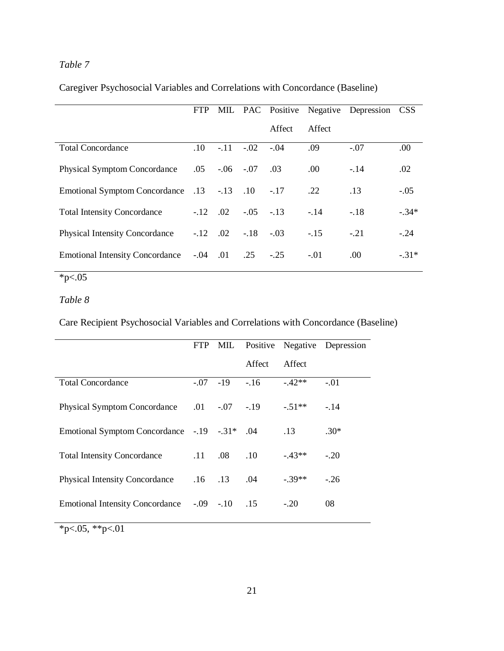# *Table 7*

Caregiver Psychosocial Variables and Correlations with Concordance (Baseline)

|                                                 | <b>FTP</b> |                |                            |        |        | MIL PAC Positive Negative Depression CSS |         |
|-------------------------------------------------|------------|----------------|----------------------------|--------|--------|------------------------------------------|---------|
|                                                 |            |                |                            | Affect | Affect |                                          |         |
| <b>Total Concordance</b>                        | .10        |                | $-.11-.02$                 | $-.04$ | .09    | $-.07$                                   | .00.    |
| <b>Physical Symptom Concordance</b>             |            |                | $.05 - .06 - .07$          | .03    | .00.   | $-.14$                                   | .02     |
| Emotional Symptom Concordance .13 -.13 .10 -.17 |            |                |                            |        | .22    | .13                                      | $-.05$  |
| <b>Total Intensity Concordance</b>              |            |                | $-.12$ $.02$ $-.05$ $-.13$ |        | $-14$  | $-.18$                                   | $-.34*$ |
| <b>Physical Intensity Concordance</b>           |            | $-.12$ .02     | $-.18$                     | $-.03$ | $-.15$ | $-.21$                                   | $-24$   |
| <b>Emotional Intensity Concordance</b>          |            | $-0.04$ $0.01$ | .25                        | $-.25$ | $-.01$ | .00.                                     | $-.31*$ |

 $*_{p<.05}$ 

# *Table 8*

Care Recipient Psychosocial Variables and Correlations with Concordance (Baseline)

|                                               |                 |                |        |          | FTP MIL Positive Negative Depression |
|-----------------------------------------------|-----------------|----------------|--------|----------|--------------------------------------|
|                                               |                 |                | Affect | Affect   |                                      |
| <b>Total Concordance</b>                      |                 | $-.07 -19 -16$ |        | $-42**$  | $-.01$                               |
| Physical Symptom Concordance .01 -.07 -.19    |                 |                |        | $-.51**$ | $-.14$                               |
| Emotional Symptom Concordance -.19 -.31* .04  |                 |                |        | .13      | $.30*$                               |
|                                               |                 |                |        |          |                                      |
| <b>Total Intensity Concordance</b>            | $.11 \quad .08$ |                | .10    | $-43**$  | $-.20$                               |
|                                               |                 |                |        |          |                                      |
| <b>Physical Intensity Concordance</b>         | $.16$ $.13$     |                | .04    | $-39**$  | $-26$                                |
| Emotional Intensity Concordance -.09 -.10 .15 |                 |                |        | $-.20$   | 08                                   |
| $\Delta$<br>$\bigcap_{i=1}^n$<br>$\sim$ 0.1   |                 |                |        |          |                                      |

 $*p<.05, **p<.01$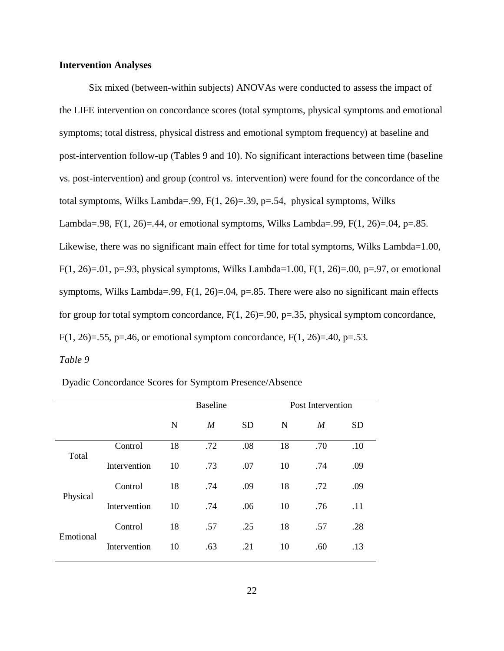### **Intervention Analyses**

Six mixed (between-within subjects) ANOVAs were conducted to assess the impact of the LIFE intervention on concordance scores (total symptoms, physical symptoms and emotional symptoms; total distress, physical distress and emotional symptom frequency) at baseline and post-intervention follow-up (Tables 9 and 10). No significant interactions between time (baseline vs. post-intervention) and group (control vs. intervention) were found for the concordance of the total symptoms, Wilks Lambda=.99,  $F(1, 26) = .39$ ,  $p = .54$ , physical symptoms, Wilks Lambda=.98, F(1, 26)=.44, or emotional symptoms, Wilks Lambda=.99, F(1, 26)=.04, p=.85. Likewise, there was no significant main effect for time for total symptoms, Wilks Lambda=1.00, F(1, 26)=.01, p=.93, physical symptoms, Wilks Lambda=1.00, F(1, 26)=.00, p=.97, or emotional symptoms, Wilks Lambda=.99,  $F(1, 26) = .04$ , p=.85. There were also no significant main effects for group for total symptom concordance,  $F(1, 26)=0.90$ ,  $p=.35$ , physical symptom concordance, F(1, 26)=.55, p=.46, or emotional symptom concordance, F(1, 26)=.40, p=.53.

## *Table 9*

Dyadic Concordance Scores for Symptom Presence/Absence

|           |              | <b>Baseline</b> |                  |           | Post Intervention |                  |           |
|-----------|--------------|-----------------|------------------|-----------|-------------------|------------------|-----------|
|           |              | $\mathbf N$     | $\boldsymbol{M}$ | <b>SD</b> | N                 | $\boldsymbol{M}$ | <b>SD</b> |
| Total     | Control      | 18              | .72              | .08       | 18                | .70              | .10       |
|           | Intervention | 10              | .73              | .07       | 10                | .74              | .09       |
| Physical  | Control      | 18              | .74              | .09       | 18                | .72              | .09       |
|           | Intervention | 10              | .74              | .06       | 10                | .76              | .11       |
| Emotional | Control      | 18              | .57              | .25       | 18                | .57              | .28       |
|           | Intervention | 10              | .63              | .21       | 10                | .60              | .13       |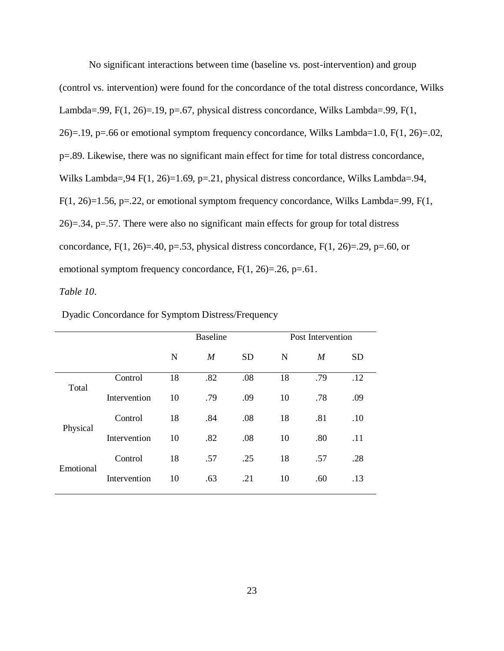No significant interactions between time (baseline vs. post-intervention) and group (control vs. intervention) were found for the concordance of the total distress concordance, Wilks Lambda=.99, F(1, 26)=.19, p=.67, physical distress concordance, Wilks Lambda=.99, F(1, 26)=.19, p=.66 or emotional symptom frequency concordance, Wilks Lambda=1.0,  $F(1, 26) = .02$ , p=.89. Likewise, there was no significant main effect for time for total distress concordance, Wilks Lambda=, 94 F(1, 26)=1.69, p=.21, physical distress concordance, Wilks Lambda=.94,  $F(1, 26)=1.56$ , p=.22, or emotional symptom frequency concordance, Wilks Lambda=.99,  $F(1, 1)$ 26)=.34, p=.57. There were also no significant main effects for group for total distress concordance,  $F(1, 26) = .40$ ,  $p = .53$ , physical distress concordance,  $F(1, 26) = .29$ ,  $p = .60$ , or emotional symptom frequency concordance,  $F(1, 26)=0.26$ ,  $p=.61$ .

### *Table 10*.

|           |              | <b>Baseline</b> |                  |           | Post Intervention |                  |           |
|-----------|--------------|-----------------|------------------|-----------|-------------------|------------------|-----------|
|           |              | $\mathbf N$     | $\boldsymbol{M}$ | <b>SD</b> | N                 | $\boldsymbol{M}$ | <b>SD</b> |
| Total     | Control      | 18              | .82              | .08       | 18                | .79              | .12       |
|           | Intervention | 10              | .79              | .09       | 10                | .78              | .09       |
| Physical  | Control      | 18              | .84              | .08       | 18                | .81              | .10       |
|           | Intervention | 10              | .82              | .08       | 10                | .80              | .11       |
| Emotional | Control      | 18              | .57              | .25       | 18                | .57              | .28       |
|           | Intervention | 10              | .63              | .21       | 10                | .60              | .13       |

Dyadic Concordance for Symptom Distress/Frequency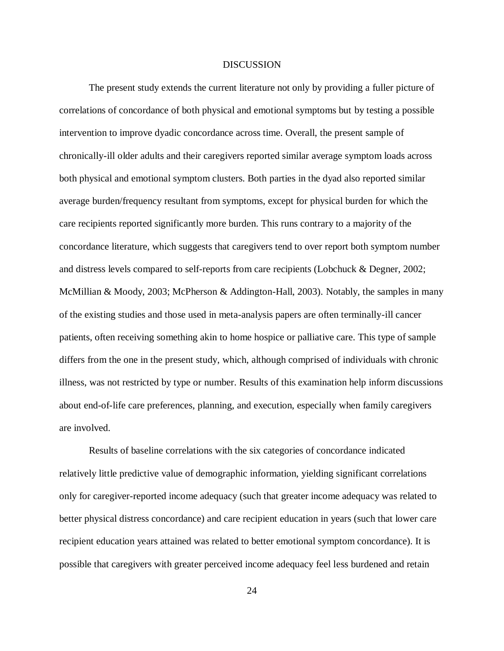#### **DISCUSSION**

The present study extends the current literature not only by providing a fuller picture of correlations of concordance of both physical and emotional symptoms but by testing a possible intervention to improve dyadic concordance across time. Overall, the present sample of chronically-ill older adults and their caregivers reported similar average symptom loads across both physical and emotional symptom clusters. Both parties in the dyad also reported similar average burden/frequency resultant from symptoms, except for physical burden for which the care recipients reported significantly more burden. This runs contrary to a majority of the concordance literature, which suggests that caregivers tend to over report both symptom number and distress levels compared to self-reports from care recipients (Lobchuck & Degner, 2002; McMillian & Moody, 2003; McPherson & Addington-Hall, 2003). Notably, the samples in many of the existing studies and those used in meta-analysis papers are often terminally-ill cancer patients, often receiving something akin to home hospice or palliative care. This type of sample differs from the one in the present study, which, although comprised of individuals with chronic illness, was not restricted by type or number. Results of this examination help inform discussions about end-of-life care preferences, planning, and execution, especially when family caregivers are involved.

Results of baseline correlations with the six categories of concordance indicated relatively little predictive value of demographic information, yielding significant correlations only for caregiver-reported income adequacy (such that greater income adequacy was related to better physical distress concordance) and care recipient education in years (such that lower care recipient education years attained was related to better emotional symptom concordance). It is possible that caregivers with greater perceived income adequacy feel less burdened and retain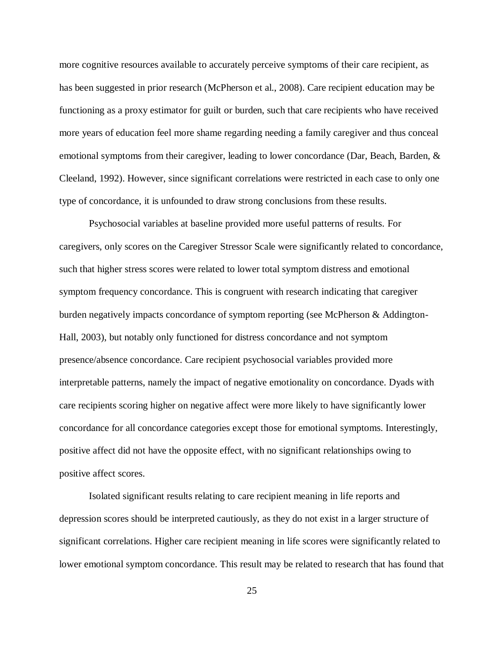more cognitive resources available to accurately perceive symptoms of their care recipient, as has been suggested in prior research (McPherson et al., 2008). Care recipient education may be functioning as a proxy estimator for guilt or burden, such that care recipients who have received more years of education feel more shame regarding needing a family caregiver and thus conceal emotional symptoms from their caregiver, leading to lower concordance (Dar, Beach, Barden, & Cleeland, 1992). However, since significant correlations were restricted in each case to only one type of concordance, it is unfounded to draw strong conclusions from these results.

Psychosocial variables at baseline provided more useful patterns of results. For caregivers, only scores on the Caregiver Stressor Scale were significantly related to concordance, such that higher stress scores were related to lower total symptom distress and emotional symptom frequency concordance. This is congruent with research indicating that caregiver burden negatively impacts concordance of symptom reporting (see McPherson & Addington-Hall, 2003), but notably only functioned for distress concordance and not symptom presence/absence concordance. Care recipient psychosocial variables provided more interpretable patterns, namely the impact of negative emotionality on concordance. Dyads with care recipients scoring higher on negative affect were more likely to have significantly lower concordance for all concordance categories except those for emotional symptoms. Interestingly, positive affect did not have the opposite effect, with no significant relationships owing to positive affect scores.

Isolated significant results relating to care recipient meaning in life reports and depression scores should be interpreted cautiously, as they do not exist in a larger structure of significant correlations. Higher care recipient meaning in life scores were significantly related to lower emotional symptom concordance. This result may be related to research that has found that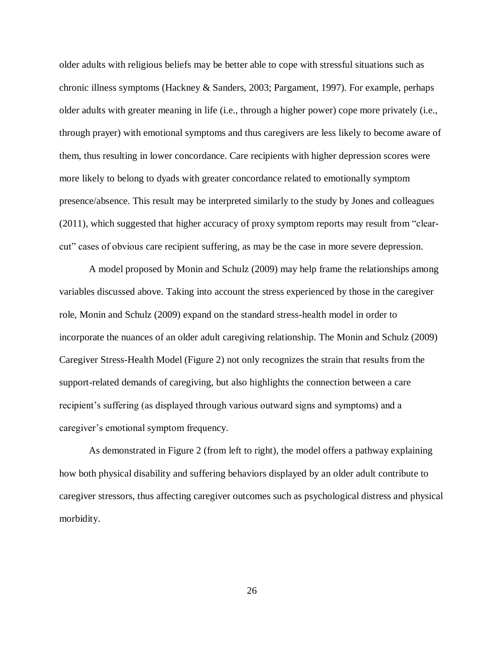older adults with religious beliefs may be better able to cope with stressful situations such as chronic illness symptoms (Hackney & Sanders, 2003; Pargament, 1997). For example, perhaps older adults with greater meaning in life (i.e., through a higher power) cope more privately (i.e., through prayer) with emotional symptoms and thus caregivers are less likely to become aware of them, thus resulting in lower concordance. Care recipients with higher depression scores were more likely to belong to dyads with greater concordance related to emotionally symptom presence/absence. This result may be interpreted similarly to the study by Jones and colleagues (2011), which suggested that higher accuracy of proxy symptom reports may result from "clearcut" cases of obvious care recipient suffering, as may be the case in more severe depression.

A model proposed by Monin and Schulz (2009) may help frame the relationships among variables discussed above. Taking into account the stress experienced by those in the caregiver role, Monin and Schulz (2009) expand on the standard stress-health model in order to incorporate the nuances of an older adult caregiving relationship. The Monin and Schulz (2009) Caregiver Stress-Health Model (Figure 2) not only recognizes the strain that results from the support-related demands of caregiving, but also highlights the connection between a care recipient's suffering (as displayed through various outward signs and symptoms) and a caregiver's emotional symptom frequency.

As demonstrated in Figure 2 (from left to right), the model offers a pathway explaining how both physical disability and suffering behaviors displayed by an older adult contribute to caregiver stressors, thus affecting caregiver outcomes such as psychological distress and physical morbidity.

26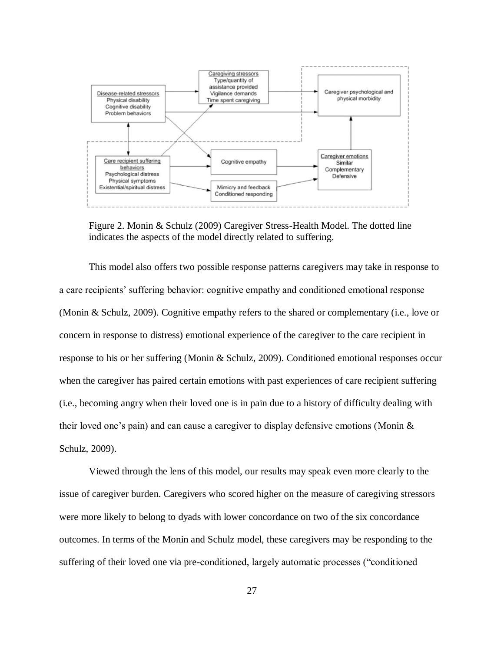

Figure 2. Monin & Schulz (2009) Caregiver Stress-Health Model. The dotted line indicates the aspects of the model directly related to suffering.

This model also offers two possible response patterns caregivers may take in response to a care recipients' suffering behavior: cognitive empathy and conditioned emotional response (Monin & Schulz, 2009). Cognitive empathy refers to the shared or complementary (i.e., love or concern in response to distress) emotional experience of the caregiver to the care recipient in response to his or her suffering (Monin & Schulz, 2009). Conditioned emotional responses occur when the caregiver has paired certain emotions with past experiences of care recipient suffering (i.e., becoming angry when their loved one is in pain due to a history of difficulty dealing with their loved one's pain) and can cause a caregiver to display defensive emotions (Monin & Schulz, 2009).

Viewed through the lens of this model, our results may speak even more clearly to the issue of caregiver burden. Caregivers who scored higher on the measure of caregiving stressors were more likely to belong to dyads with lower concordance on two of the six concordance outcomes. In terms of the Monin and Schulz model, these caregivers may be responding to the suffering of their loved one via pre-conditioned, largely automatic processes ("conditioned")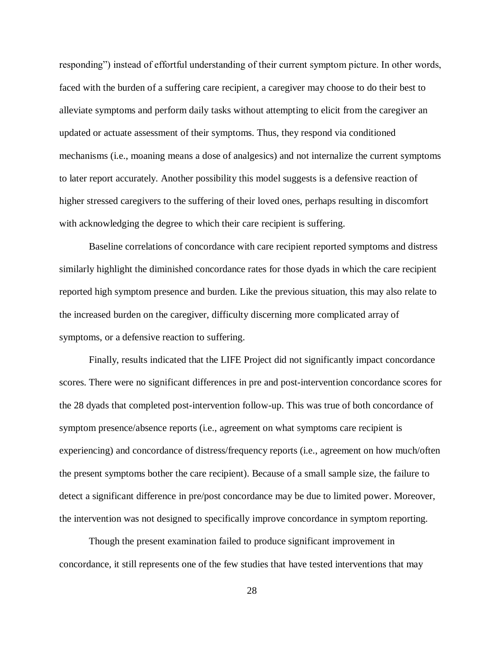responding") instead of effortful understanding of their current symptom picture. In other words, faced with the burden of a suffering care recipient, a caregiver may choose to do their best to alleviate symptoms and perform daily tasks without attempting to elicit from the caregiver an updated or actuate assessment of their symptoms. Thus, they respond via conditioned mechanisms (i.e., moaning means a dose of analgesics) and not internalize the current symptoms to later report accurately. Another possibility this model suggests is a defensive reaction of higher stressed caregivers to the suffering of their loved ones, perhaps resulting in discomfort with acknowledging the degree to which their care recipient is suffering.

Baseline correlations of concordance with care recipient reported symptoms and distress similarly highlight the diminished concordance rates for those dyads in which the care recipient reported high symptom presence and burden. Like the previous situation, this may also relate to the increased burden on the caregiver, difficulty discerning more complicated array of symptoms, or a defensive reaction to suffering.

Finally, results indicated that the LIFE Project did not significantly impact concordance scores. There were no significant differences in pre and post-intervention concordance scores for the 28 dyads that completed post-intervention follow-up. This was true of both concordance of symptom presence/absence reports (i.e., agreement on what symptoms care recipient is experiencing) and concordance of distress/frequency reports (i.e., agreement on how much/often the present symptoms bother the care recipient). Because of a small sample size, the failure to detect a significant difference in pre/post concordance may be due to limited power. Moreover, the intervention was not designed to specifically improve concordance in symptom reporting.

Though the present examination failed to produce significant improvement in concordance, it still represents one of the few studies that have tested interventions that may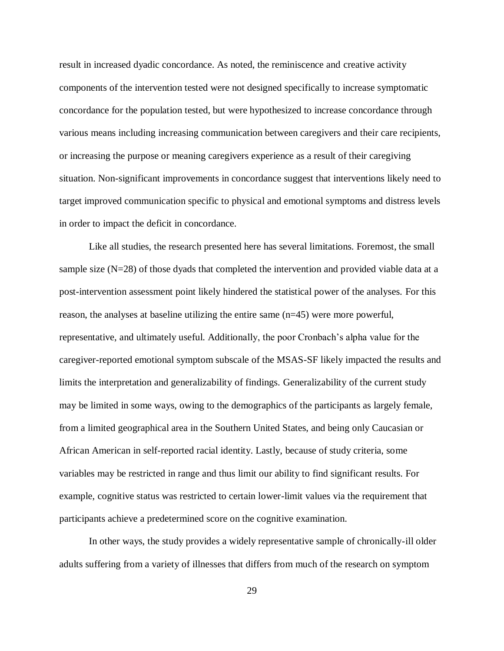result in increased dyadic concordance. As noted, the reminiscence and creative activity components of the intervention tested were not designed specifically to increase symptomatic concordance for the population tested, but were hypothesized to increase concordance through various means including increasing communication between caregivers and their care recipients, or increasing the purpose or meaning caregivers experience as a result of their caregiving situation. Non-significant improvements in concordance suggest that interventions likely need to target improved communication specific to physical and emotional symptoms and distress levels in order to impact the deficit in concordance.

Like all studies, the research presented here has several limitations. Foremost, the small sample size  $(N=28)$  of those dyads that completed the intervention and provided viable data at a post-intervention assessment point likely hindered the statistical power of the analyses. For this reason, the analyses at baseline utilizing the entire same (n=45) were more powerful, representative, and ultimately useful. Additionally, the poor Cronbach's alpha value for the caregiver-reported emotional symptom subscale of the MSAS-SF likely impacted the results and limits the interpretation and generalizability of findings. Generalizability of the current study may be limited in some ways, owing to the demographics of the participants as largely female, from a limited geographical area in the Southern United States, and being only Caucasian or African American in self-reported racial identity. Lastly, because of study criteria, some variables may be restricted in range and thus limit our ability to find significant results. For example, cognitive status was restricted to certain lower-limit values via the requirement that participants achieve a predetermined score on the cognitive examination.

In other ways, the study provides a widely representative sample of chronically-ill older adults suffering from a variety of illnesses that differs from much of the research on symptom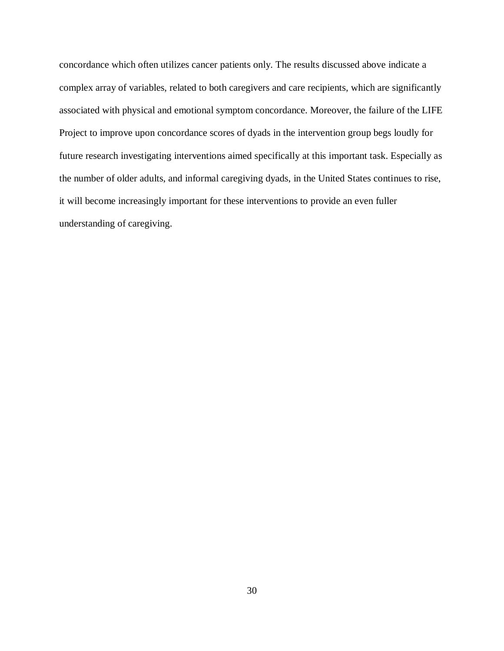concordance which often utilizes cancer patients only. The results discussed above indicate a complex array of variables, related to both caregivers and care recipients, which are significantly associated with physical and emotional symptom concordance. Moreover, the failure of the LIFE Project to improve upon concordance scores of dyads in the intervention group begs loudly for future research investigating interventions aimed specifically at this important task. Especially as the number of older adults, and informal caregiving dyads, in the United States continues to rise, it will become increasingly important for these interventions to provide an even fuller understanding of caregiving.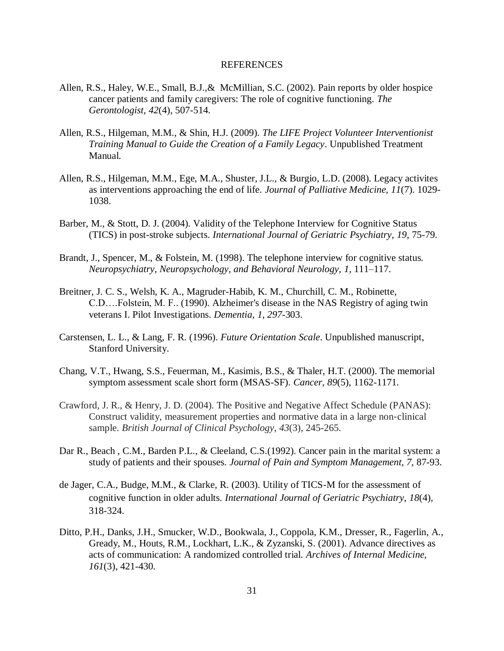#### REFERENCES

- Allen, R.S., Haley, W.E., Small, B.J.,& McMillian, S.C. (2002). Pain reports by older hospice cancer patients and family caregivers: The role of cognitive functioning. *The Gerontologist, 42*(4), 507-514.
- Allen, R.S., Hilgeman, M.M., & Shin, H.J. (2009). *The LIFE Project Volunteer Interventionist Training Manual to Guide the Creation of a Family Legacy*. Unpublished Treatment Manual.
- Allen, R.S., Hilgeman, M.M., Ege, M.A., Shuster, J.L., & Burgio, L.D. (2008). Legacy activites as interventions approaching the end of life. *Journal of Palliative Medicine, 11*(7). 1029- 1038.
- Barber, M., & Stott, D. J. (2004). Validity of the Telephone Interview for Cognitive Status (TICS) in post-stroke subjects. *International Journal of Geriatric Psychiatry*, *19*, 75-79.
- Brandt, J., Spencer, M., & Folstein, M. (1998). The telephone interview for cognitive status. *Neuropsychiatry, Neuropsychology, and Behavioral Neurology, 1*, 111–117.
- Breitner, J. C. S., Welsh, K. A., Magruder-Habib, K. M., Churchill, C. M., Robinette, C.D….Folstein, M. F.. (1990). Alzheimer's disease in the NAS Registry of aging twin veterans I. Pilot Investigations. *Dementia*, *1*, *297*-303.
- Carstensen, L. L., & Lang, F. R. (1996). *Future Orientation Scale*. Unpublished manuscript, Stanford University.
- Chang, V.T., Hwang, S.S., Feuerman, M., Kasimis, B.S., & Thaler, H.T. (2000). The memorial symptom assessment scale short form (MSAS-SF). *Cancer, 89*(5), 1162-1171.
- Crawford, J. R., & Henry, J. D. (2004). The Positive and Negative Affect Schedule (PANAS): Construct validity, measurement properties and normative data in a large non‐clinical sample. *British Journal of Clinical Psychology*, *43*(3), 245-265.
- Dar R., Beach , C.M., Barden P.L., & Cleeland, C.S.(1992). Cancer pain in the marital system: a study of patients and their spouses. *Journal of Pain and Symptom Management, 7,* 87-93.
- de Jager, C.A., Budge, M.M., & Clarke, R. (2003). Utility of TICS-M for the assessment of cognitive function in older adults. *International Journal of Geriatric Psychiatry, 18*(4)*,*  318-324.
- Ditto, P.H., Danks, J.H., Smucker, W.D., Bookwala, J., Coppola, K.M., Dresser, R., Fagerlin, A., Gready, M., Houts, R.M., Lockhart, L.K., & Zyzanski, S. (2001). Advance directives as acts of communication: A randomized controlled trial. *Archives of Internal Medicine, 161*(3), 421-430.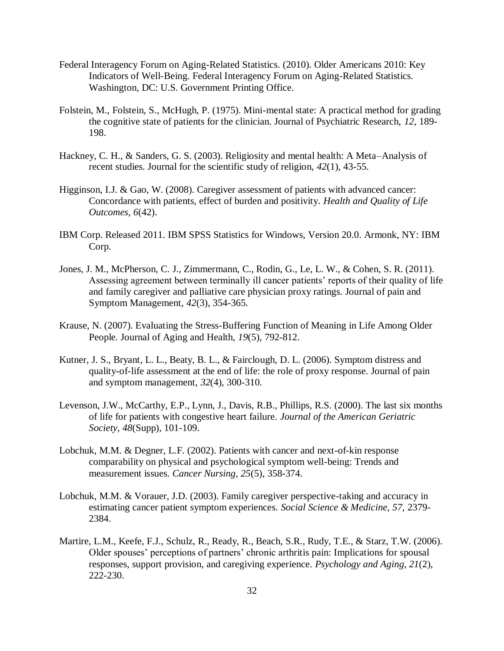- Federal Interagency Forum on Aging-Related Statistics. (2010). Older Americans 2010: Key Indicators of Well-Being. Federal Interagency Forum on Aging-Related Statistics. Washington, DC: U.S. Government Printing Office.
- Folstein, M., Folstein, S., McHugh, P. (1975). Mini-mental state: A practical method for grading the cognitive state of patients for the clinician. Journal of Psychiatric Research, *12*, 189- 198.
- Hackney, C. H., & Sanders, G. S. (2003). Religiosity and mental health: A Meta–Analysis of recent studies. Journal for the scientific study of religion, *42*(1), 43-55.
- Higginson, I.J. & Gao, W. (2008). Caregiver assessment of patients with advanced cancer: Concordance with patients, effect of burden and positivity. *Health and Quality of Life Outcomes, 6*(42).
- IBM Corp. Released 2011. IBM SPSS Statistics for Windows, Version 20.0. Armonk, NY: IBM Corp.
- Jones, J. M., McPherson, C. J., Zimmermann, C., Rodin, G., Le, L. W., & Cohen, S. R. (2011). Assessing agreement between terminally ill cancer patients' reports of their quality of life and family caregiver and palliative care physician proxy ratings. Journal of pain and Symptom Management, *42*(3), 354-365.
- Krause, N. (2007). Evaluating the Stress-Buffering Function of Meaning in Life Among Older People. Journal of Aging and Health, *19*(5), 792-812.
- Kutner, J. S., Bryant, L. L., Beaty, B. L., & Fairclough, D. L. (2006). Symptom distress and quality-of-life assessment at the end of life: the role of proxy response. Journal of pain and symptom management, *32*(4), 300-310.
- Levenson, J.W., McCarthy, E.P., Lynn, J., Davis, R.B., Phillips, R.S. (2000). The last six months of life for patients with congestive heart failure. *Journal of the American Geriatric Society, 48*(Supp), 101-109.
- Lobchuk, M.M. & Degner, L.F. (2002). Patients with cancer and next-of-kin response comparability on physical and psychological symptom well-being: Trends and measurement issues. *Cancer Nursing, 25*(5), 358-374.
- Lobchuk, M.M. & Vorauer, J.D. (2003). Family caregiver perspective-taking and accuracy in estimating cancer patient symptom experiences. *Social Science & Medicine, 57,* 2379- 2384.
- Martire, L.M., Keefe, F.J., Schulz, R., Ready, R., Beach, S.R., Rudy, T.E., & Starz, T.W. (2006). Older spouses' perceptions of partners' chronic arthritis pain: Implications for spousal responses, support provision, and caregiving experience. *Psychology and Aging, 21*(2), 222-230.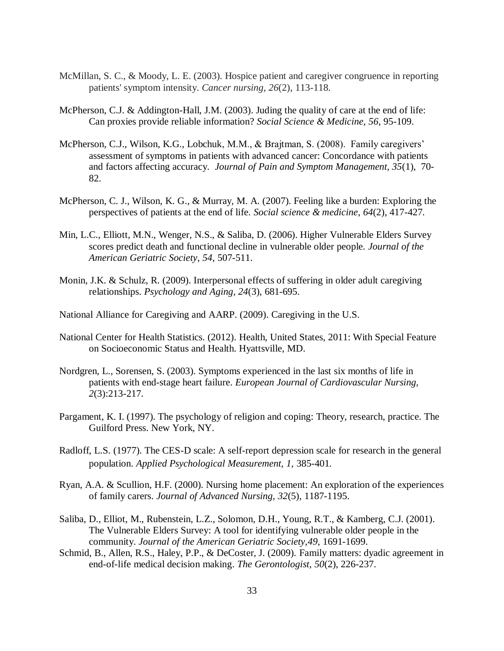- McMillan, S. C., & Moody, L. E. (2003). Hospice patient and caregiver congruence in reporting patients' symptom intensity. *Cancer nursing*, *26*(2), 113-118.
- McPherson, C.J. & Addington-Hall, J.M. (2003). Juding the quality of care at the end of life: Can proxies provide reliable information? *Social Science & Medicine, 56*, 95-109.
- McPherson, C.J., Wilson, K.G., Lobchuk, M.M., & Brajtman, S. (2008). Family caregivers' assessment of symptoms in patients with advanced cancer: Concordance with patients and factors affecting accuracy. *Journal of Pain and Symptom Management, 35*(1), 70- 82.
- McPherson, C. J., Wilson, K. G., & Murray, M. A. (2007). Feeling like a burden: Exploring the perspectives of patients at the end of life. *Social science & medicine*, *64*(2), 417-427.
- Min, L.C., Elliott, M.N., Wenger, N.S., & Saliba, D. (2006). Higher Vulnerable Elders Survey scores predict death and functional decline in vulnerable older people. *Journal of the American Geriatric Society*, *54*, 507-511.
- Monin, J.K. & Schulz, R. (2009). Interpersonal effects of suffering in older adult caregiving relationships. *Psychology and Aging, 24*(3), 681-695.
- National Alliance for Caregiving and AARP. (2009). Caregiving in the U.S.
- National Center for Health Statistics. (2012). Health, United States, 2011: With Special Feature on Socioeconomic Status and Health. Hyattsville, MD.
- Nordgren, L., Sorensen, S. (2003). Symptoms experienced in the last six months of life in patients with end-stage heart failure. *European Journal of Cardiovascular Nursing, 2*(3):213-217.
- Pargament, K. I. (1997). The psychology of religion and coping: Theory, research, practice. The Guilford Press. New York, NY.
- Radloff, L.S. (1977). The CES-D scale: A self-report depression scale for research in the general population. *Applied Psychological Measurement, 1,* 385-401.
- Ryan, A.A. & Scullion, H.F. (2000). Nursing home placement: An exploration of the experiences of family carers. *Journal of Advanced Nursing, 32*(5), 1187-1195.
- Saliba, D., Elliot, M., Rubenstein, L.Z., Solomon, D.H., Young, R.T., & Kamberg, C.J. (2001). The Vulnerable Elders Survey: A tool for identifying vulnerable older people in the community. *Journal of the American Geriatric Society,49*, 1691-1699.
- Schmid, B., Allen, R.S., Haley, P.P., & DeCoster, J. (2009). Family matters: dyadic agreement in end-of-life medical decision making. *The Gerontologist, 50*(2), 226-237.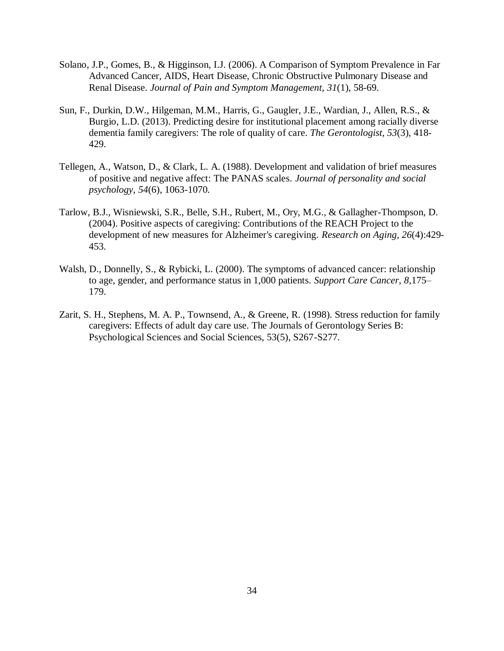- Solano, J.P., Gomes, B., & Higginson, I.J. (2006). A Comparison of Symptom Prevalence in Far Advanced Cancer, AIDS, Heart Disease, Chronic Obstructive Pulmonary Disease and Renal Disease. *Journal of Pain and Symptom Management, 31*(1), 58-69.
- Sun, F., Durkin, D.W., Hilgeman, M.M., Harris, G., Gaugler, J.E., Wardian, J., Allen, R.S., & Burgio, L.D. (2013). Predicting desire for institutional placement among racially diverse dementia family caregivers: The role of quality of care. *The Gerontologist, 53*(3), 418- 429.
- Tellegen, A., Watson, D., & Clark, L. A. (1988). Development and validation of brief measures of positive and negative affect: The PANAS scales. *Journal of personality and social psychology*, *54*(6), 1063-1070.
- Tarlow, B.J., Wisniewski, S.R., Belle, S.H., Rubert, M., Ory, M.G., & Gallagher-Thompson, D. (2004). Positive aspects of caregiving: Contributions of the REACH Project to the development of new measures for Alzheimer's caregiving. *Research on Aging, 26*(4):429- 453.
- Walsh, D., Donnelly, S., & Rybicki, L. (2000). The symptoms of advanced cancer: relationship to age, gender, and performance status in 1,000 patients. *Support Care Cancer*, *8,*175– 179.
- Zarit, S. H., Stephens, M. A. P., Townsend, A., & Greene, R. (1998). Stress reduction for family caregivers: Effects of adult day care use. The Journals of Gerontology Series B: Psychological Sciences and Social Sciences, 53(5), S267-S277.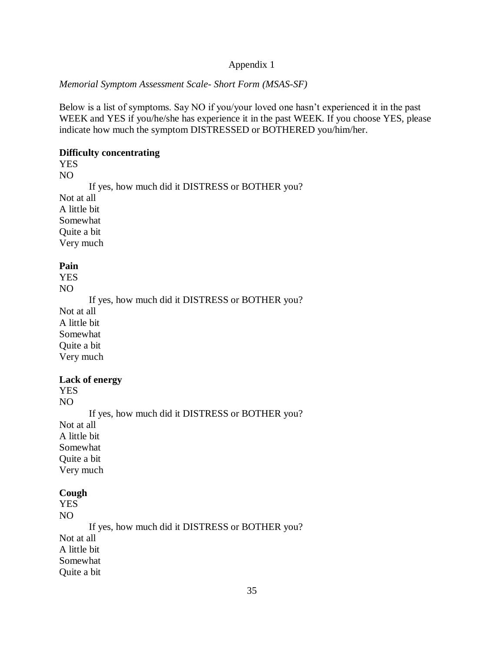### *Memorial Symptom Assessment Scale- Short Form (MSAS-SF)*

Below is a list of symptoms. Say NO if you/your loved one hasn't experienced it in the past WEEK and YES if you/he/she has experience it in the past WEEK. If you choose YES, please indicate how much the symptom DISTRESSED or BOTHERED you/him/her.

#### **Difficulty concentrating**

YES

NO If yes, how much did it DISTRESS or BOTHER you? Not at all A little bit Somewhat Quite a bit Very much

#### **Pain**

YES NO

If yes, how much did it DISTRESS or BOTHER you?

Not at all A little bit Somewhat Quite a bit Very much

### **Lack of energy**

YES NO

If yes, how much did it DISTRESS or BOTHER you? Not at all A little bit Somewhat Quite a bit Very much

#### **Cough**

YES NO If yes, how much did it DISTRESS or BOTHER you? Not at all A little bit Somewhat Quite a bit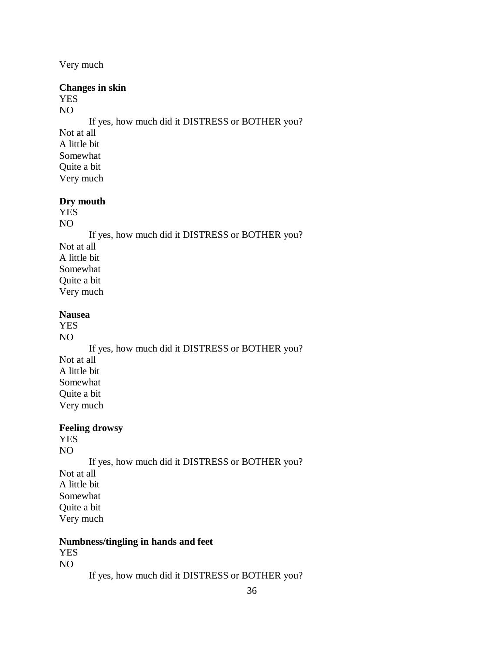Very much

### **Changes in skin**

YES

NO If yes, how much did it DISTRESS or BOTHER you? Not at all A little bit Somewhat Quite a bit Very much

### **Dry mouth**

YES

NO If yes, how much did it DISTRESS or BOTHER you? Not at all A little bit Somewhat Quite a bit Very much

#### **Nausea**

YES NO If yes, how much did it DISTRESS or BOTHER you? Not at all A little bit Somewhat Quite a bit Very much

### **Feeling drowsy**

YES NO If yes, how much did it DISTRESS or BOTHER you? Not at all A little bit Somewhat Quite a bit Very much

#### **Numbness/tingling in hands and feet**

YES NO

If yes, how much did it DISTRESS or BOTHER you?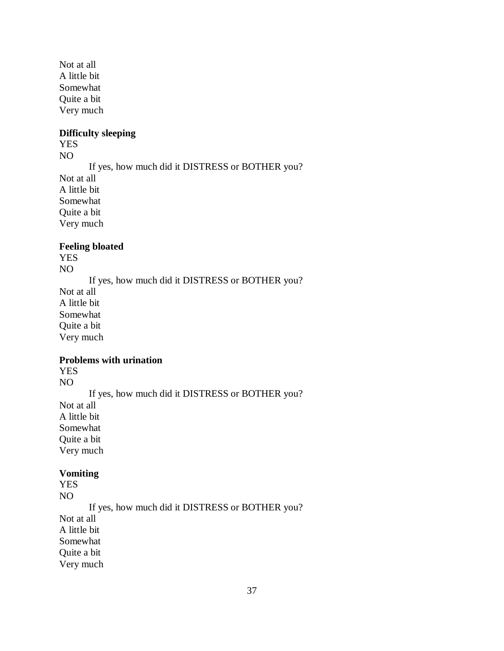Not at all A little bit Somewhat Quite a bit Very much

## **Difficulty sleeping**

YES

NO If yes, how much did it DISTRESS or BOTHER you? Not at all A little bit Somewhat Quite a bit Very much

### **Feeling bloated**

YES NO

If yes, how much did it DISTRESS or BOTHER you? Not at all A little bit Somewhat Quite a bit Very much

## **Problems with urination**

YES

NO If yes, how much did it DISTRESS or BOTHER you? Not at all A little bit Somewhat Quite a bit Very much

#### **Vomiting**

YES NO If yes, how much did it DISTRESS or BOTHER you? Not at all A little bit Somewhat Quite a bit

Very much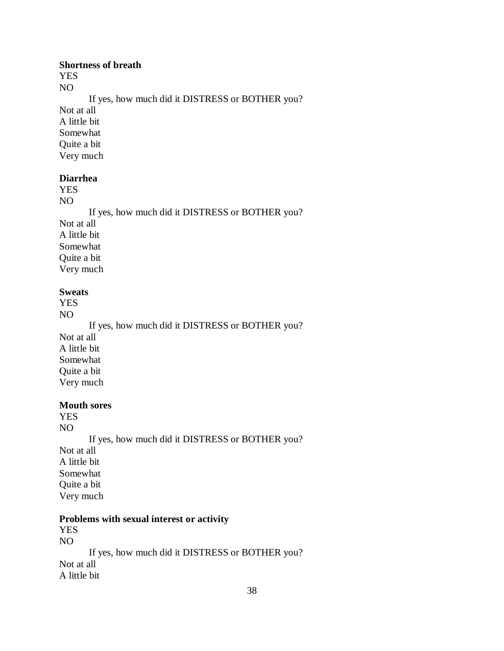#### **Shortness of breath**

YES NO

If yes, how much did it DISTRESS or BOTHER you?

Not at all A little bit Somewhat Quite a bit Very much

#### **Diarrhea**

YES

NO If yes, how much did it DISTRESS or BOTHER you? Not at all A little bit Somewhat Quite a bit Very much

### **Sweats**

YES NO

If yes, how much did it DISTRESS or BOTHER you? Not at all A little bit Somewhat Quite a bit Very much

#### **Mouth sores**

YES NO If yes, how much did it DISTRESS or BOTHER you? Not at all A little bit Somewhat Quite a bit Very much

### **Problems with sexual interest or activity**

YES NO If yes, how much did it DISTRESS or BOTHER you? Not at all A little bit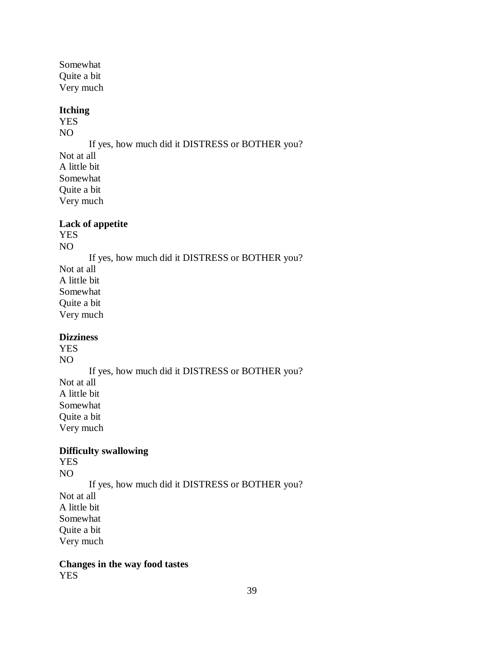Somewhat Quite a bit Very much

## **Itching**

YES NO

If yes, how much did it DISTRESS or BOTHER you?

Not at all A little bit Somewhat Quite a bit Very much

## **Lack of appetite**

YES NO

If yes, how much did it DISTRESS or BOTHER you? Not at all A little bit Somewhat Quite a bit Very much

### **Dizziness**

YES NO If yes, how much did it DISTRESS or BOTHER you? Not at all A little bit Somewhat Quite a bit Very much

# **Difficulty swallowing**

YES NO

If yes, how much did it DISTRESS or BOTHER you?

Not at all A little bit Somewhat Quite a bit

Very much

**Changes in the way food tastes** YES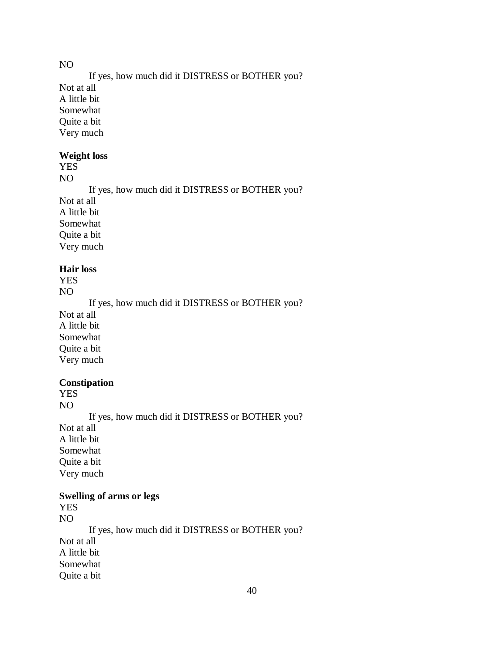NO

If yes, how much did it DISTRESS or BOTHER you? Not at all A little bit Somewhat Quite a bit Very much

## **Weight loss**

YES NO

If yes, how much did it DISTRESS or BOTHER you? Not at all A little bit Somewhat Quite a bit Very much

#### **Hair loss**

YES NO

If yes, how much did it DISTRESS or BOTHER you? Not at all A little bit Somewhat Quite a bit Very much

## **Constipation**

YES

NO If yes, how much did it DISTRESS or BOTHER you? Not at all A little bit Somewhat Quite a bit Very much

# **Swelling of arms or legs**

YES NO If yes, how much did it DISTRESS or BOTHER you? Not at all A little bit Somewhat Quite a bit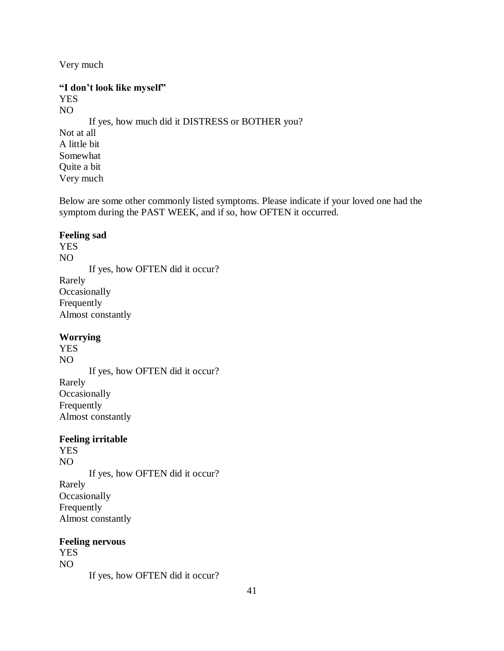Very much

## **"I don't look like myself"** YES NO If yes, how much did it DISTRESS or BOTHER you? Not at all

A little bit Somewhat Quite a bit Very much

Below are some other commonly listed symptoms. Please indicate if your loved one had the symptom during the PAST WEEK, and if so, how OFTEN it occurred.

## **Feeling sad**

YES NO If yes, how OFTEN did it occur? Rarely **Occasionally** Frequently Almost constantly

## **Worrying**

YES NO If yes, how OFTEN did it occur? Rarely **Occasionally** Frequently Almost constantly

## **Feeling irritable**

YES NO If yes, how OFTEN did it occur? Rarely **Occasionally** Frequently Almost constantly

## **Feeling nervous**

YES NO If yes, how OFTEN did it occur?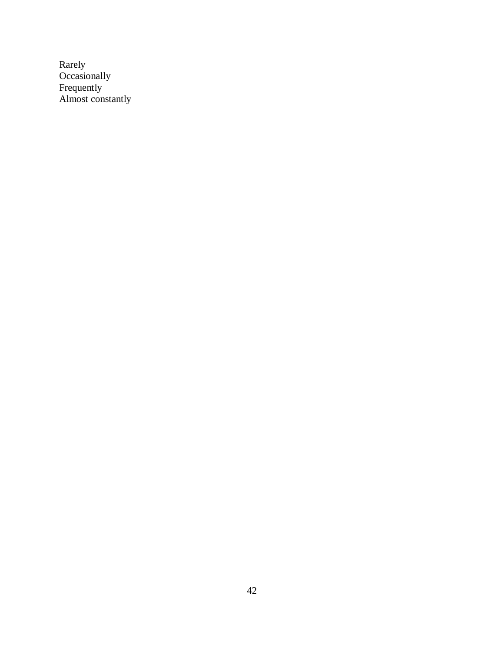Rarely **Occasionally** Frequently Almost constantly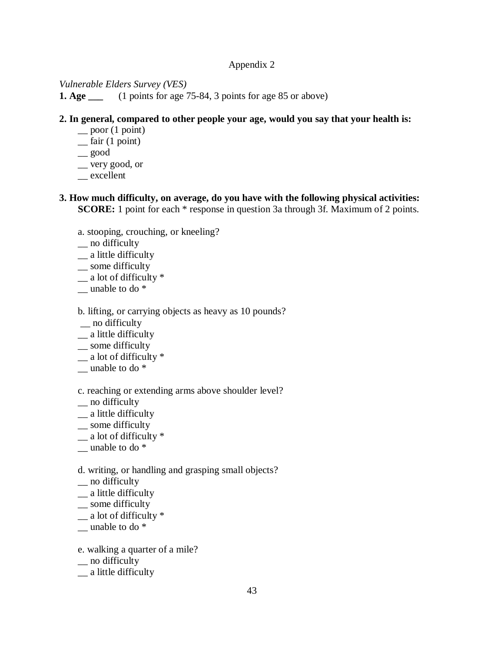## *Vulnerable Elders Survey (VES)*

**1. Age \_\_\_** (1 points for age 75-84, 3 points for age 85 or above)

## **2. In general, compared to other people your age, would you say that your health is:**

- $\equiv$  poor (1 point)
- $\equiv$  fair (1 point)
- \_\_ good
- \_\_ very good, or
- \_\_ excellent

## **3. How much difficulty, on average, do you have with the following physical activities: SCORE:** 1 point for each  $*$  response in question 3a through 3f. Maximum of 2 points.

- a. stooping, crouching, or kneeling?
- \_\_ no difficulty
- \_\_ a little difficulty
- \_\_ some difficulty
- $\frac{1}{2}$  a lot of difficulty  $*$
- $\equiv$  unable to do  $*$

## b. lifting, or carrying objects as heavy as 10 pounds?

- \_\_ no difficulty
- \_\_ a little difficulty
- \_ some difficulty
- $\frac{1}{2}$  a lot of difficulty  $*$
- $\equiv$  unable to do  $*$

## c. reaching or extending arms above shoulder level?

- \_\_ no difficulty
- \_\_ a little difficulty
- \_\_ some difficulty
- $\frac{1}{2}$  a lot of difficulty  $*$
- $\equiv$  unable to do  $*$

## d. writing, or handling and grasping small objects?

- \_\_ no difficulty
- \_\_ a little difficulty
- \_\_ some difficulty
- $\equiv$  a lot of difficulty  $*$
- $\equiv$  unable to do  $*$
- e. walking a quarter of a mile?
- \_\_ no difficulty
- \_\_ a little difficulty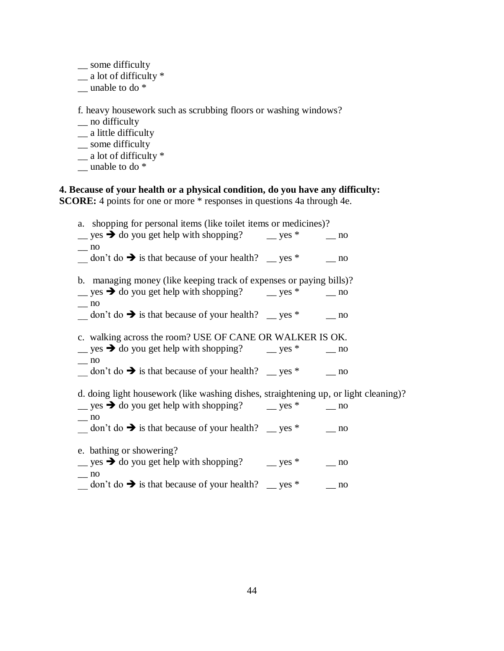- \_\_ some difficulty
- $\equiv$  a lot of difficulty  $*$
- $\equiv$  unable to do  $*$

f. heavy housework such as scrubbing floors or washing windows?

- \_\_ no difficulty
- \_\_ a little difficulty
- \_ some difficulty
- $\frac{1}{2}$  a lot of difficulty  $*$
- $\equiv$  unable to do  $*$

## **4. Because of your health or a physical condition, do you have any difficulty: SCORE:** 4 points for one or more  $*$  responses in questions 4a through 4e.

| a. shopping for personal items (like toilet items or medicines)?                                                                                                                                                                       |           |
|----------------------------------------------------------------------------------------------------------------------------------------------------------------------------------------------------------------------------------------|-----------|
| gives $\rightarrow$ do you get help with shopping? gives $*$ gives $*$ gives $*$ gives $*$ gives $*$ gives $*$ gives $*$ gives $*$ gives $*$ gives $*$ gives $*$ gives $*$ gives $*$ gives $*$ gives $*$ gives $*$ gives $*$ gives $*$ |           |
| $-$ no<br>$\frac{1}{2}$ don't do $\rightarrow$ is that because of your health? $\frac{1}{2}$ yes * $\frac{1}{2}$ no                                                                                                                    |           |
| b. managing money (like keeping track of expenses or paying bills)?                                                                                                                                                                    |           |
| $\angle$ yes → do you get help with shopping? $\angle$ yes *                                                                                                                                                                           | $\sim$ no |
| $-$ no<br>$\frac{1}{2}$ don't do $\rightarrow$ is that because of your health? $\frac{1}{2}$ yes * $\frac{1}{2}$ no                                                                                                                    |           |
| c. walking across the room? USE OF CANE OR WALKER IS OK.                                                                                                                                                                               |           |
| $\frac{1}{2}$ yes → do you get help with shopping? $\frac{1}{2}$ yes *                                                                                                                                                                 | $\sim$ no |
| $-$ no<br>$\frac{1}{2}$ don't do $\rightarrow$ is that because of your health? $\frac{1}{2}$ yes * $\frac{1}{2}$ no                                                                                                                    |           |
| d. doing light housework (like washing dishes, straightening up, or light cleaning)?                                                                                                                                                   |           |
| gives $\rightarrow$ do you get help with shopping? gives $*$ gives $*$ gives $*$ gives $*$ gives $*$ gives $*$ gives $*$ gives $*$ gives $*$ gives $*$ gives $*$ gives $*$ gives $*$ gives $*$ gives $*$ gives $*$ gives $*$ gives $*$ |           |
| $-$ no<br>$\frac{1}{2}$ don't do $\rightarrow$ is that because of your health? $\frac{1}{2}$ yes * $\frac{1}{2}$ no                                                                                                                    |           |
|                                                                                                                                                                                                                                        |           |
| e. bathing or showering?<br>$\frac{1}{2}$ yes → do you get help with shopping? $\frac{1}{2}$ yes *<br>$-$ no                                                                                                                           | no        |
| $\frac{1}{2}$ don't do $\rightarrow$ is that because of your health? $\frac{1}{2}$ yes *                                                                                                                                               | no        |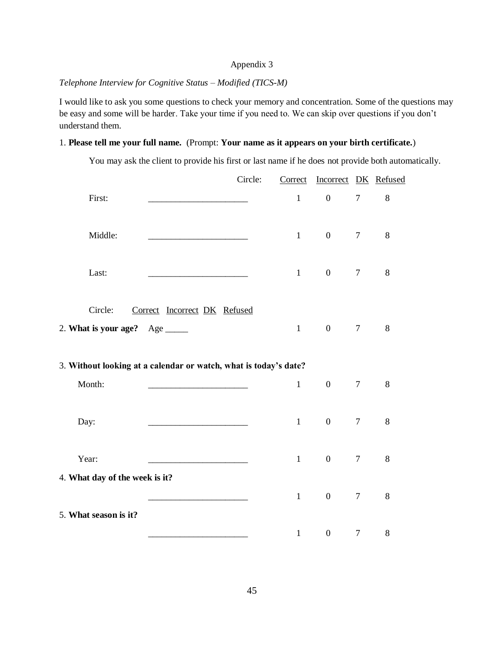## *Telephone Interview for Cognitive Status – Modified (TICS-M)*

I would like to ask you some questions to check your memory and concentration. Some of the questions may be easy and some will be harder. Take your time if you need to. We can skip over questions if you don't understand them.

## 1. **Please tell me your full name.** (Prompt: **Your name as it appears on your birth certificate.**)

You may ask the client to provide his first or last name if he does not provide both automatically.

|                                       | Circle:                                                          | Correct      | Incorrect DK Refused |                |         |
|---------------------------------------|------------------------------------------------------------------|--------------|----------------------|----------------|---------|
| First:                                |                                                                  | $\mathbf{1}$ | $\boldsymbol{0}$     | $\tau$         | 8       |
| Middle:                               |                                                                  | $\mathbf{1}$ | $\boldsymbol{0}$     | $\overline{7}$ | $8\,$   |
| Last:                                 |                                                                  | $\mathbf{1}$ | $\boldsymbol{0}$     | $\tau$         | $\,8\,$ |
| Circle:<br>2. What is your age? $Age$ | Correct Incorrect DK Refused                                     | $\mathbf{1}$ | $\boldsymbol{0}$     | $\tau$         | $8\,$   |
|                                       | 3. Without looking at a calendar or watch, what is today's date? |              |                      |                |         |
| Month:                                |                                                                  | $\mathbf{1}$ | $\boldsymbol{0}$     | $\overline{7}$ | 8       |
| Day:                                  |                                                                  | $\mathbf{1}$ | $\boldsymbol{0}$     | $\overline{7}$ | $8\,$   |
| Year:                                 |                                                                  | $\mathbf{1}$ | $\boldsymbol{0}$     | $\tau$         | 8       |
| 4. What day of the week is it?        |                                                                  |              |                      |                |         |
| 5. What season is it?                 |                                                                  | $\mathbf{1}$ | $\boldsymbol{0}$     | $\tau$         | $8\,$   |
|                                       |                                                                  | $\mathbf{1}$ | $\boldsymbol{0}$     | $\overline{7}$ | $8\,$   |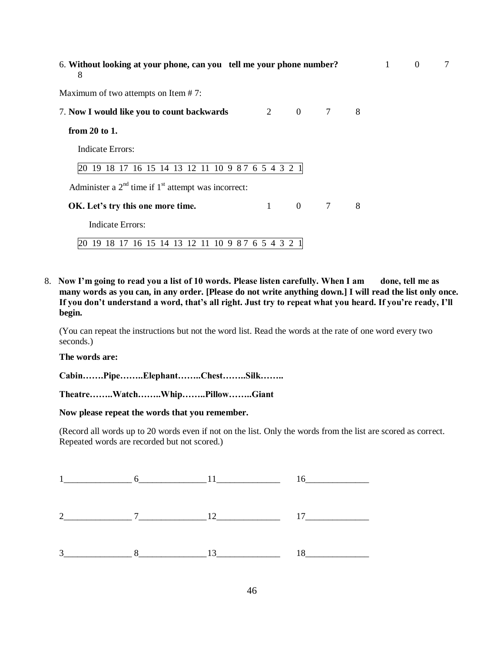| 6. Without looking at your phone, can you tell me your phone number?<br>8 |              |               |                 |   | $\mathbf{1}$ | $\overline{0}$ | 7 |
|---------------------------------------------------------------------------|--------------|---------------|-----------------|---|--------------|----------------|---|
| Maximum of two attempts on Item $# 7$ :                                   |              |               |                 |   |              |                |   |
| 7. Now I would like you to count backwards                                |              | $2 \t 0 \t 7$ |                 | 8 |              |                |   |
| from $20$ to 1.                                                           |              |               |                 |   |              |                |   |
| Indicate Errors:                                                          |              |               |                 |   |              |                |   |
| 20 19 18 17 16 15 14 13 12 11 10 9 8 7 6 5 4 3 2 1                        |              |               |                 |   |              |                |   |
| Administer a $2nd$ time if $1st$ attempt was incorrect:                   |              |               |                 |   |              |                |   |
| OK. Let's try this one more time.                                         | $\mathbf{1}$ | $\mathbf{0}$  | $7\overline{ }$ | 8 |              |                |   |
| Indicate Errors:                                                          |              |               |                 |   |              |                |   |
| 19 18 17 16 15 14 13 12 11 10 9 8 7 6 5 4 3 2 1                           |              |               |                 |   |              |                |   |

8. Now I'm going to read you a list of 10 words. Please listen carefully. When I am done, tell me as **many words as you can, in any order. [Please do not write anything down.] I will read the list only once. If you don't understand a word, that's all right. Just try to repeat what you heard. If you're ready, I'll begin.** 

(You can repeat the instructions but not the word list. Read the words at the rate of one word every two seconds.)

**The words are:**

**Cabin…….Pipe……..Elephant……..Chest……..Silk……..**

**Theatre……..Watch……..Whip……..Pillow……..Giant**

**Now please repeat the words that you remember.**

(Record all words up to 20 words even if not on the list. Only the words from the list are scored as correct. Repeated words are recorded but not scored.)

|  | $1$ $\frac{6}{1}$ $11$ $16$                |  |
|--|--------------------------------------------|--|
|  |                                            |  |
|  | $3 \qquad 8 \qquad 13 \qquad 18 \qquad 18$ |  |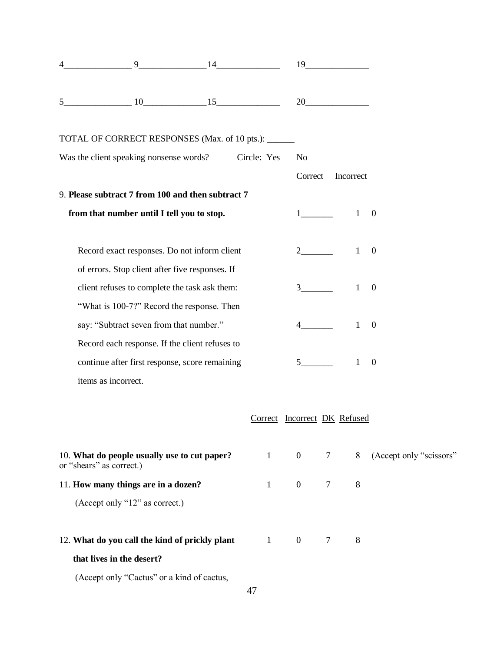|                | 9                                                                        | 14 |                              |                                | $19 \overline{\phantom{1}}$ |              |                           |
|----------------|--------------------------------------------------------------------------|----|------------------------------|--------------------------------|-----------------------------|--------------|---------------------------|
| 5 <sup>5</sup> |                                                                          |    |                              |                                | 20                          |              |                           |
|                | TOTAL OF CORRECT RESPONSES (Max. of 10 pts.): ______                     |    |                              |                                |                             |              |                           |
|                | Was the client speaking nonsense words? Circle: Yes                      |    |                              | N <sub>o</sub>                 |                             |              |                           |
|                |                                                                          |    |                              | Correct                        |                             | Incorrect    |                           |
|                | 9. Please subtract 7 from 100 and then subtract 7                        |    |                              |                                |                             |              |                           |
|                | from that number until I tell you to stop.                               |    |                              |                                | $1 \qquad \qquad$           | $\mathbf{1}$ | $\boldsymbol{0}$          |
|                | Record exact responses. Do not inform client                             |    |                              |                                |                             | $\mathbf{1}$ | $\overline{0}$            |
|                | of errors. Stop client after five responses. If                          |    |                              |                                |                             |              |                           |
|                | client refuses to complete the task ask them:                            |    |                              | $3 \left( \frac{1}{2} \right)$ |                             | $\mathbf{1}$ | $\overline{0}$            |
|                | "What is 100-7?" Record the response. Then                               |    |                              |                                |                             |              |                           |
|                | say: "Subtract seven from that number."                                  |    |                              |                                |                             | $\mathbf{1}$ | $\boldsymbol{0}$          |
|                | Record each response. If the client refuses to                           |    |                              |                                |                             |              |                           |
|                | continue after first response, score remaining                           |    |                              | 5 <sup>5</sup>                 |                             | 1            | $\boldsymbol{0}$          |
|                | items as incorrect.                                                      |    |                              |                                |                             |              |                           |
|                |                                                                          |    | Correct Incorrect DK Refused |                                |                             |              |                           |
|                | 10. What do people usually use to cut paper?<br>or "shears" as correct.) |    | $\mathbf{1}$                 | $\overline{0}$                 | $7\phantom{.0}$             |              | 8 (Accept only "scissors" |
|                | 11. How many things are in a dozen?                                      |    | $\mathbf{1}$                 | $\overline{0}$                 | $\tau$                      | $8\,$        |                           |
|                | (Accept only "12" as correct.)                                           |    |                              |                                |                             |              |                           |
|                | 12. What do you call the kind of prickly plant                           |    | $1 \quad \Box$               | $\overline{0}$                 | $\overline{7}$              | 8            |                           |
|                | that lives in the desert?                                                |    |                              |                                |                             |              |                           |
|                | (Accept only "Cactus" or a kind of cactus,                               |    |                              |                                |                             |              |                           |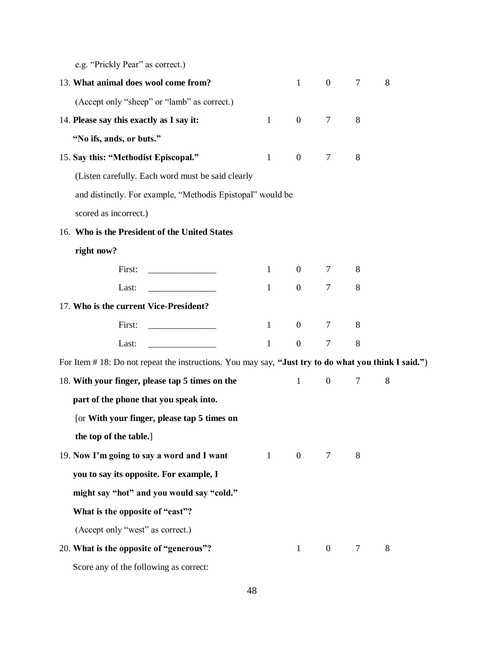e.g. "Prickly Pear" as correct.)

| 13. What animal does wool come from?                                                                 |              | $\mathbf{1}$     | $\overline{0}$   | 7              | 8 |  |
|------------------------------------------------------------------------------------------------------|--------------|------------------|------------------|----------------|---|--|
| (Accept only "sheep" or "lamb" as correct.)                                                          |              |                  |                  |                |   |  |
| 14. Please say this exactly as I say it:                                                             | $\mathbf{1}$ | $\overline{0}$   | 7                | 8              |   |  |
| "No ifs, ands, or buts."                                                                             |              |                  |                  |                |   |  |
| 15. Say this: "Methodist Episcopal."                                                                 | 1            | $\overline{0}$   | 7                | 8              |   |  |
| (Listen carefully. Each word must be said clearly                                                    |              |                  |                  |                |   |  |
| and distinctly. For example, "Methodis Epistopal" would be                                           |              |                  |                  |                |   |  |
| scored as incorrect.)                                                                                |              |                  |                  |                |   |  |
| 16. Who is the President of the United States                                                        |              |                  |                  |                |   |  |
| right now?                                                                                           |              |                  |                  |                |   |  |
| First:                                                                                               | $\mathbf{1}$ |                  | $0\qquad 7$      | 8              |   |  |
| Last:                                                                                                | $\mathbf{1}$ | $\overline{0}$   | $\tau$           | 8              |   |  |
| 17. Who is the current Vice-President?                                                               |              |                  |                  |                |   |  |
| First:                                                                                               | $\mathbf{1}$ | $\overline{0}$   | 7                | 8              |   |  |
| Last:                                                                                                | 1            | $\boldsymbol{0}$ | $\overline{7}$   | 8              |   |  |
| For Item # 18: Do not repeat the instructions. You may say, "Just try to do what you think I said.") |              |                  |                  |                |   |  |
| 18. With your finger, please tap 5 times on the                                                      |              | $\mathbf{1}$     | $\boldsymbol{0}$ | $\overline{7}$ | 8 |  |
| part of the phone that you speak into.                                                               |              |                  |                  |                |   |  |
| [or With your finger, please tap 5 times on                                                          |              |                  |                  |                |   |  |
| the top of the table.]                                                                               |              |                  |                  |                |   |  |
| 19. Now I'm going to say a word and I want                                                           | $\mathbf{1}$ | $\mathbf{0}$     | 7                | 8              |   |  |
| you to say its opposite. For example, I                                                              |              |                  |                  |                |   |  |
| might say "hot" and you would say "cold."                                                            |              |                  |                  |                |   |  |
| What is the opposite of "east"?                                                                      |              |                  |                  |                |   |  |
| (Accept only "west" as correct.)                                                                     |              |                  |                  |                |   |  |
| 20. What is the opposite of "generous"?                                                              |              | $\mathbf{1}$     | $\overline{0}$   | $\tau$         | 8 |  |
| Score any of the following as correct:                                                               |              |                  |                  |                |   |  |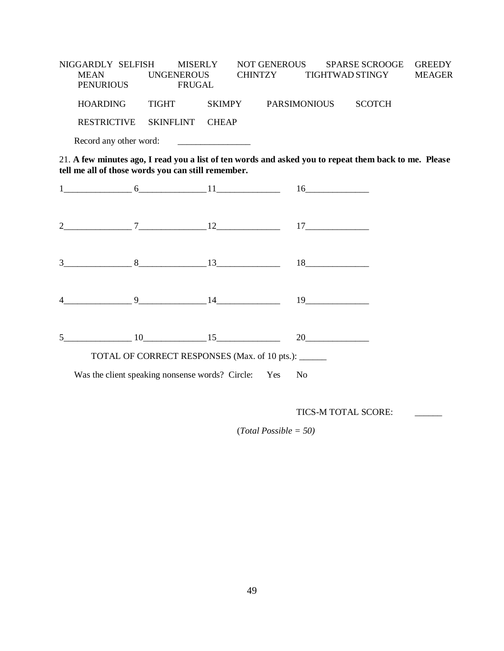NIGGARDLY SELFISH MISERLY NOT GENEROUS SPARSE SCROOGE GREEDY MEAN UNGENEROUS CHINTZY TIGHTWAD STINGY MEAGER PENURIOUS FRUGAL HOARDING TIGHT SKIMPY PARSIMONIOUS SCOTCH RESTRICTIVE SKINFLINT CHEAP Record any other word: \_\_\_\_\_\_\_\_\_\_\_\_\_\_\_\_

21. **A few minutes ago, I read you a list of ten words and asked you to repeat them back to me. Please tell me all of those words you can still remember.**

|  |                                                        | $3 \qquad 8 \qquad 13 \qquad 18 \qquad 18$                             |
|--|--------------------------------------------------------|------------------------------------------------------------------------|
|  |                                                        | $4 \qquad \qquad 9 \qquad \qquad 14 \qquad \qquad 19 \qquad \qquad 19$ |
|  |                                                        | $5 \t 10 \t 15 \t 20 \t 20$                                            |
|  | TOTAL OF CORRECT RESPONSES (Max. of 10 pts.): _____    |                                                                        |
|  | Was the client speaking nonsense words? Circle: Yes No |                                                                        |

TICS-M TOTAL SCORE:

(*Total Possible = 50)*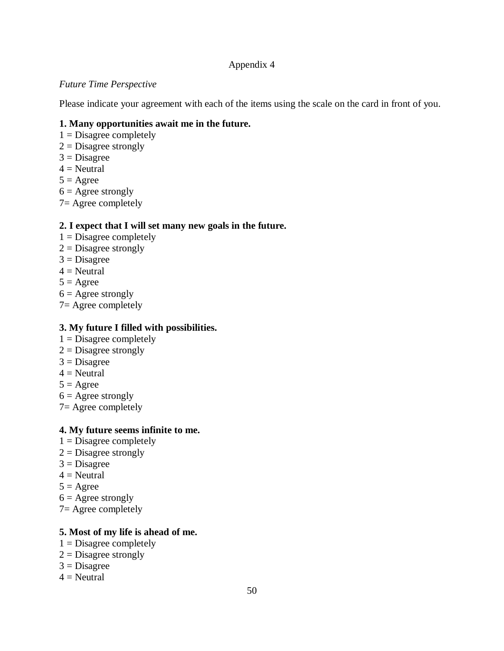## *Future Time Perspective*

Please indicate your agreement with each of the items using the scale on the card in front of you.

## **1. Many opportunities await me in the future.**

- $1 = Disagree completely$
- $2 =$ Disagree strongly
- $3 = Disagree$
- $4 =$ Neutral
- $5 = \text{Agree}$
- $6 = \text{Agree strongly}$
- 7= Agree completely

## **2. I expect that I will set many new goals in the future.**

- $1 = Disagree completely$
- $2 =$ Disagree strongly
- $3 = Disagree$
- $4 =$ Neutral
- $5 = \text{Agree}$
- $6 = \text{Agree strongly}$
- 7= Agree completely

## **3. My future I filled with possibilities.**

- $1 = Disagree completely$
- $2 =$ Disagree strongly
- $3 = Disagree$
- $4$  = Neutral
- $5 = \text{Agree}$
- $6 = \text{Agree strongly}$
- 7= Agree completely

## **4. My future seems infinite to me.**

- $1 = Disagree completely$
- $2 =$ Disagree strongly
- $3 = Disagree$
- $4$  = Neutral
- $5 = \text{Agree}$
- $6 = \text{Agree strongly}$
- 7= Agree completely

## **5. Most of my life is ahead of me.**

- $1 = Disagree completely$
- $2 =$ Disagree strongly
- $3 = Disagree$
- $4$  = Neutral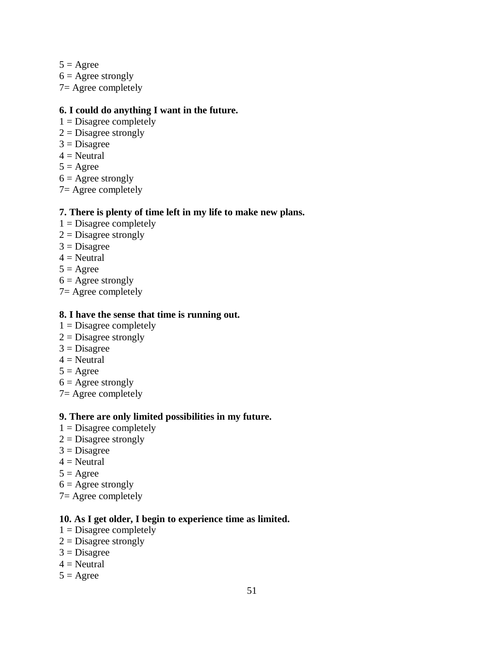$5 = \text{Agree}$  $6 = \text{Agree strongly}$  $7=$  Agree completely

## **6. I could do anything I want in the future.**

- $1 = Disagree completely$
- $2 =$ Disagree strongly
- $3$  = Disagree
- $4 =$  Neutral
- $5 = \text{Agree}$
- $6 = \text{Agree strongly}$
- $7=$  Agree completely

## **7. There is plenty of time left in my life to make new plans.**

- $1 = Disagree completely$
- $2 = Disagree$  strongly
- $3 = Disagree$
- $4$  = Neutral
- $5 = \text{Agree}$
- $6 = \text{Agree strongly}$
- 7= Agree completely

### **8. I have the sense that time is running out.**

- $1 = Disagree completely$
- $2 =$ Disagree strongly
- $3 = Disagree$
- $4$  = Neutral
- $5 = \text{Agree}$
- $6 = \text{Agree strongly}$
- 7= Agree completely

## **9. There are only limited possibilities in my future.**

- $1 = Disagree completely$
- $2 =$ Disagree strongly
- $3 = Disagree$
- $4$  = Neutral
- $5 = \text{Agree}$
- $6 = \text{Agree strongly}$
- 7= Agree completely

## **10. As I get older, I begin to experience time as limited.**

- $1 = Disagree completely$
- $2 =$ Disagree strongly
- $3 = Disagree$
- $4$  = Neutral
- $5 = \text{Agree}$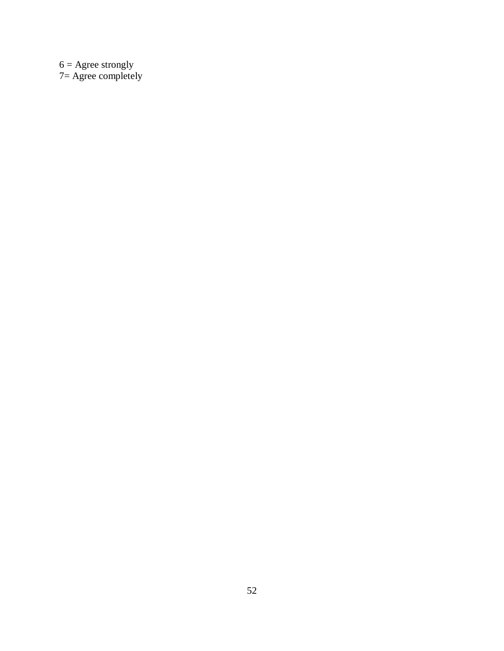$6 = \text{Agree strongly}$ 7= Agree completely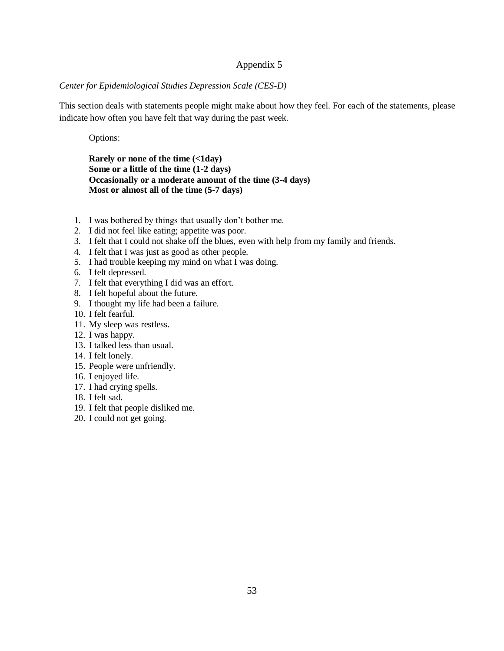#### *Center for Epidemiological Studies Depression Scale (CES-D)*

This section deals with statements people might make about how they feel. For each of the statements, please indicate how often you have felt that way during the past week.

Options:

#### **Rarely or none of the time (<1day) Some or a little of the time (1-2 days) Occasionally or a moderate amount of the time (3-4 days) Most or almost all of the time (5-7 days)**

- 1. I was bothered by things that usually don't bother me.
- 2. I did not feel like eating; appetite was poor.
- 3. I felt that I could not shake off the blues, even with help from my family and friends.
- 4. I felt that I was just as good as other people.
- 5. I had trouble keeping my mind on what I was doing.
- 6. I felt depressed.
- 7. I felt that everything I did was an effort.
- 8. I felt hopeful about the future.
- 9. I thought my life had been a failure.
- 10. I felt fearful.
- 11. My sleep was restless.
- 12. I was happy.
- 13. I talked less than usual.
- 14. I felt lonely.
- 15. People were unfriendly.
- 16. I enjoyed life.
- 17. I had crying spells.
- 18. I felt sad.
- 19. I felt that people disliked me.
- 20. I could not get going.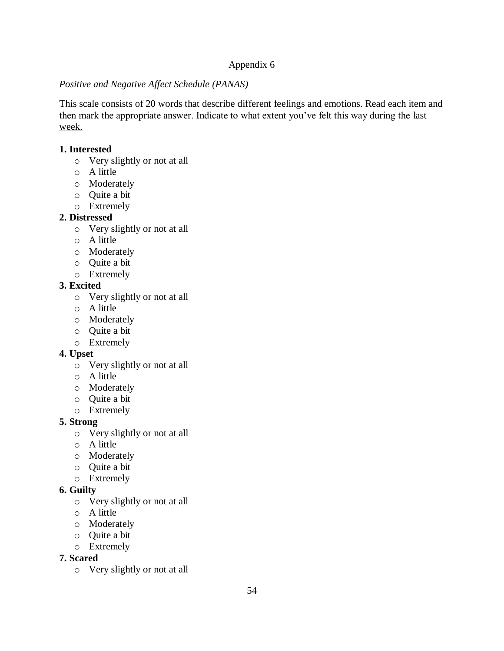## *Positive and Negative Affect Schedule (PANAS)*

This scale consists of 20 words that describe different feelings and emotions. Read each item and then mark the appropriate answer. Indicate to what extent you've felt this way during the last week.

## **1. Interested**

- o Very slightly or not at all
- o A little
- o Moderately
- o Quite a bit
- o Extremely

## **2. Distressed**

- o Very slightly or not at all
- o A little
- o Moderately
- o Quite a bit
- o Extremely

## **3. Excited**

- o Very slightly or not at all
- o A little
- o Moderately
- o Quite a bit
- o Extremely

## **4. Upset**

- o Very slightly or not at all
- o A little
- o Moderately
- o Quite a bit
- o Extremely

## **5. Strong**

- o Very slightly or not at all
- o A little
- o Moderately
- o Quite a bit
- o Extremely

## **6. Guilty**

- o Very slightly or not at all
- o A little
- o Moderately
- o Quite a bit
- o Extremely

## **7. Scared**

o Very slightly or not at all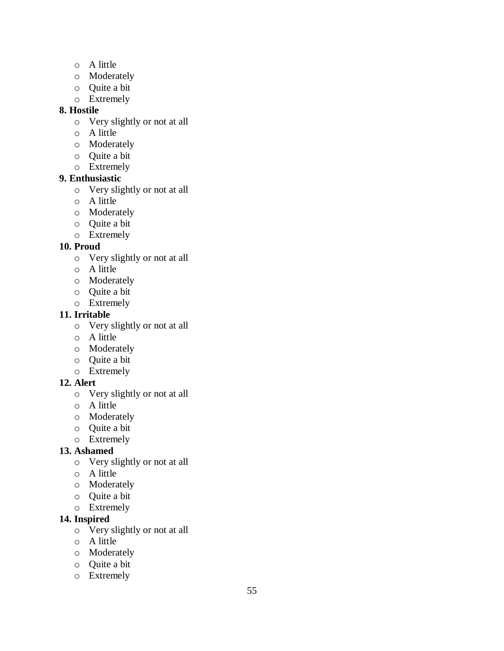- o A little
- o Moderately
- o Quite a bit
- o Extremely

## **8. Hostile**

- o Very slightly or not at all
- o A little
- o Moderately
- o Quite a bit
- o Extremely

## **9. Enthusiastic**

- o Very slightly or not at all
- o A little
- o Moderately
- o Quite a bit
- o Extremely

## **10. Proud**

- o Very slightly or not at all
- o A little
- o Moderately
- o Quite a bit
- o Extremely

## **11. Irritable**

- o Very slightly or not at all
- o A little
- o Moderately
- o Quite a bit
- o Extremely

## **12. Alert**

- o Very slightly or not at all
- o A little
- o Moderately
- o Quite a bit
- o Extremely

## **13. Ashamed**

- o Very slightly or not at all
- o A little
- o Moderately
- o Quite a bit
- o Extremely

## **14. Inspired**

- o Very slightly or not at all
- o A little
- o Moderately
- o Quite a bit
- o Extremely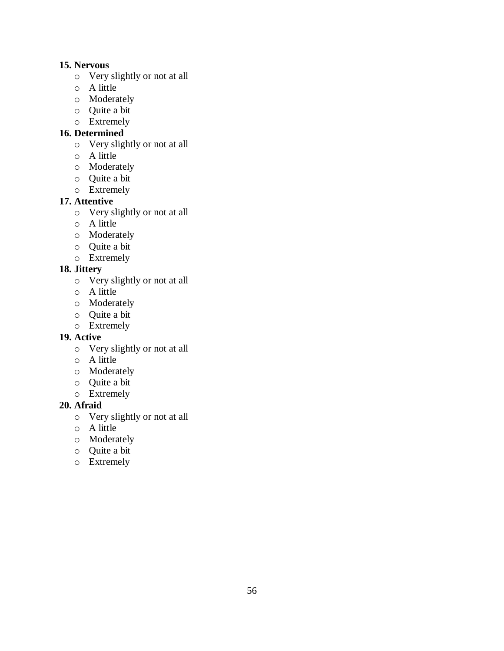## **15. Nervous**

- o Very slightly or not at all
- o A little
- o Moderately
- o Quite a bit
- o Extremely

## **16. Determined**

- o Very slightly or not at all
- o A little
- o Moderately
- o Quite a bit
- o Extremely

## **17. Attentive**

- o Very slightly or not at all
- o A little
- o Moderately
- o Quite a bit
- o Extremely

## **18. Jittery**

- o Very slightly or not at all
- o A little
- o Moderately
- o Quite a bit
- o Extremely

## **19. Active**

- o Very slightly or not at all
- o A little
- o Moderately
- o Quite a bit
- o Extremely

## **20. Afraid**

- o Very slightly or not at all
- o A little
- o Moderately
- o Quite a bit
- o Extremely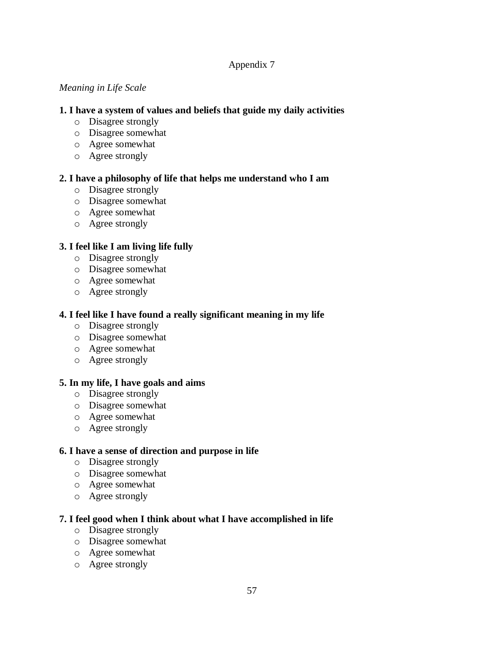### *Meaning in Life Scale*

## **1. I have a system of values and beliefs that guide my daily activities**

- o Disagree strongly
- o Disagree somewhat
- o Agree somewhat
- o Agree strongly

## **2. I have a philosophy of life that helps me understand who I am**

- o Disagree strongly
- o Disagree somewhat
- o Agree somewhat
- o Agree strongly

## **3. I feel like I am living life fully**

- o Disagree strongly
- o Disagree somewhat
- o Agree somewhat
- o Agree strongly

## **4. I feel like I have found a really significant meaning in my life**

- o Disagree strongly
- o Disagree somewhat
- o Agree somewhat
- o Agree strongly

## **5. In my life, I have goals and aims**

- o Disagree strongly
- o Disagree somewhat
- o Agree somewhat
- o Agree strongly

## **6. I have a sense of direction and purpose in life**

- o Disagree strongly
- o Disagree somewhat
- o Agree somewhat
- o Agree strongly

## **7. I feel good when I think about what I have accomplished in life**

- o Disagree strongly
- o Disagree somewhat
- o Agree somewhat
- o Agree strongly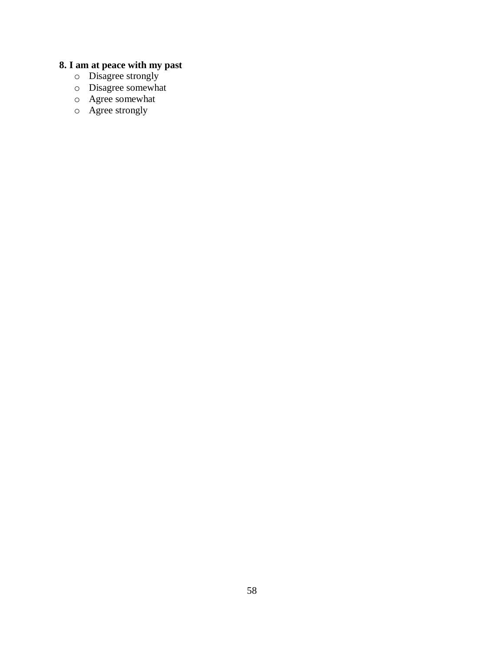#### **8. I am at peace with my past**

- o Disagree strongly
- o Disagree somewhat
- o Agree somewhat
- o Agree strongly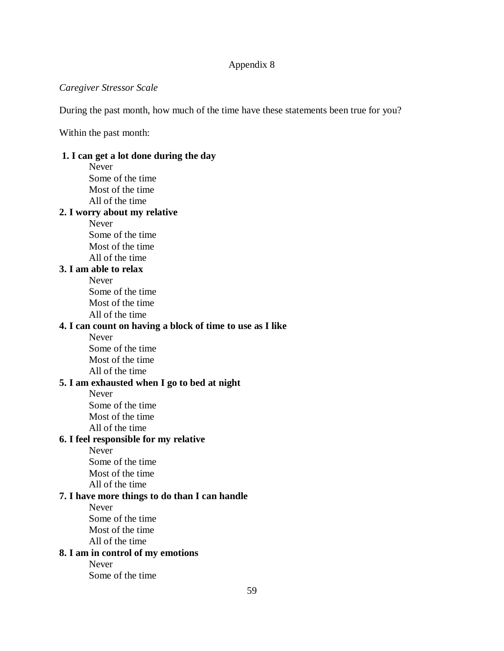### *Caregiver Stressor Scale*

During the past month, how much of the time have these statements been true for you?

Within the past month:

# **1. I can get a lot done during the day**

Never Some of the time Most of the time All of the time **2. I worry about my relative Never** Some of the time Most of the time All of the time **3. I am able to relax** Never Some of the time Most of the time All of the time **4. I can count on having a block of time to use as I like** Never Some of the time Most of the time All of the time **5. I am exhausted when I go to bed at night** Never Some of the time Most of the time All of the time **6. I feel responsible for my relative** Never Some of the time Most of the time All of the time **7. I have more things to do than I can handle** Never Some of the time Most of the time All of the time **8. I am in control of my emotions** Never Some of the time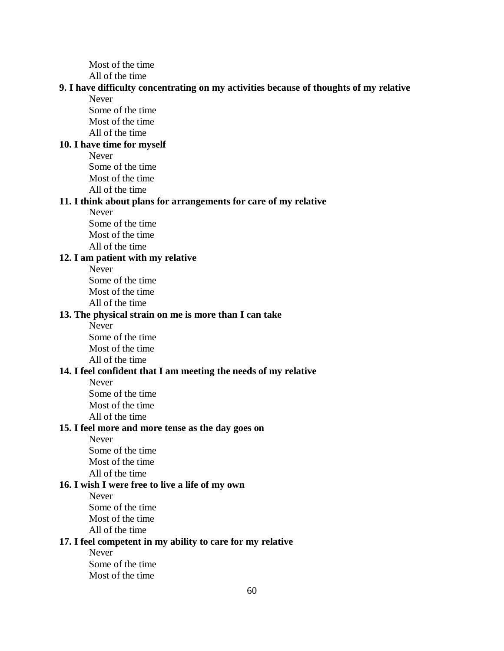Most of the time

All of the time

#### **9. I have difficulty concentrating on my activities because of thoughts of my relative** Never

Some of the time Most of the time All of the time

### **10. I have time for myself**

Never

Some of the time Most of the time All of the time

#### **11. I think about plans for arrangements for care of my relative**

Never

Some of the time Most of the time All of the time

### **12. I am patient with my relative**

Never Some of the time Most of the time All of the time

## **13. The physical strain on me is more than I can take**

Never Some of the time Most of the time All of the time

#### **14. I feel confident that I am meeting the needs of my relative**

Never Some of the time

Most of the time

All of the time

### **15. I feel more and more tense as the day goes on**

Never Some of the time

Most of the time

All of the time

## **16. I wish I were free to live a life of my own**

Never

Some of the time

Most of the time

All of the time

#### **17. I feel competent in my ability to care for my relative**

Never Some of the time Most of the time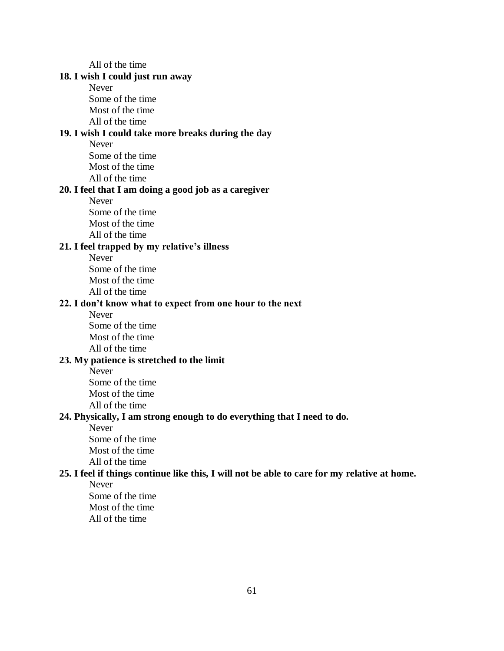**18. I wish I could just run away** Never Some of the time Most of the time All of the time **19. I wish I could take more breaks during the day** Never Some of the time Most of the time All of the time **20. I feel that I am doing a good job as a caregiver** Never Some of the time Most of the time All of the time **21. I feel trapped by my relative's illness** Never Some of the time Most of the time All of the time **22. I don't know what to expect from one hour to the next** Never Some of the time Most of the time All of the time **23. My patience is stretched to the limit** Never Some of the time Most of the time All of the time **24. Physically, I am strong enough to do everything that I need to do.** Never Some of the time Most of the time All of the time **25. I feel if things continue like this, I will not be able to care for my relative at home.** Never Some of the time Most of the time All of the time

All of the time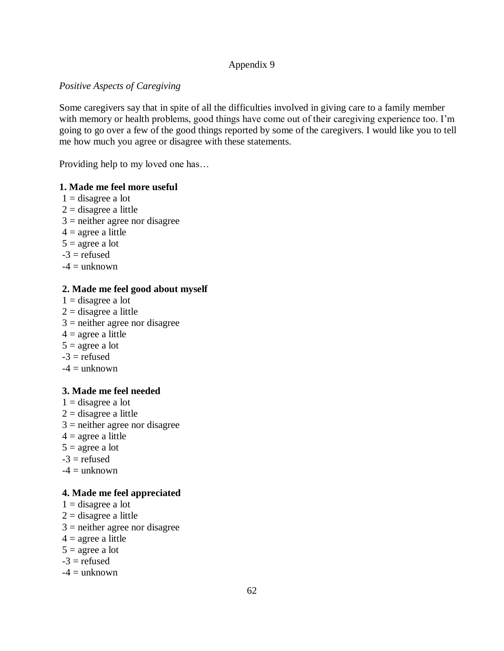### *Positive Aspects of Caregiving*

Some caregivers say that in spite of all the difficulties involved in giving care to a family member with memory or health problems, good things have come out of their caregiving experience too. I'm going to go over a few of the good things reported by some of the caregivers. I would like you to tell me how much you agree or disagree with these statements.

Providing help to my loved one has…

### **1. Made me feel more useful**

 $1 =$  disagree a lot  $2 =$  disagree a little  $3$  = neither agree nor disagree  $4 = \text{agree a little}$  $5 = \text{agree a lot}$  $-3$  = refused  $-4 =$ unknown

## **2. Made me feel good about myself**

- $1 =$  disagree a lot
- $2 =$  disagree a little
- $3$  = neither agree nor disagree
- $4 = \text{agree a little}$
- $5 = \text{agree a lot}$
- $-3$  = refused
- $-4 =$ unknown

## **3. Made me feel needed**

- $1 =$  disagree a lot  $2 =$  disagree a little
- $3$  = neither agree nor disagree
- $4 = \text{agree a little}$
- $5 = \text{agree a lot}$
- $-3$  = refused
- $-4 =$ unknown

## **4. Made me feel appreciated**

- $1 =$  disagree a lot
- $2 =$  disagree a little
- $3$  = neither agree nor disagree
- $4 = \text{agree a little}$
- $5 = \text{agree a lot}$
- $-3$  = refused
- $-4 =$ unknown